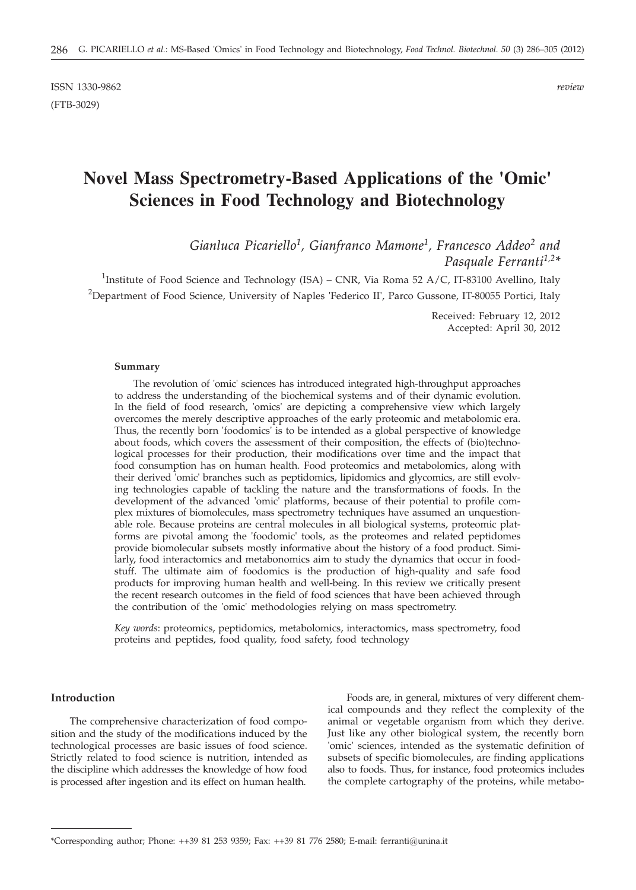ISSN 1330-9862 *review* (FTB-3029)

# **Novel Mass Spectrometry-Based Applications of the 'Omic' Sciences in Food Technology and Biotechnology**

*Gianluca Picariello1, Gianfranco Mamone1, Francesco Addeo2 and Pasquale Ferranti1,2\**

<sup>1</sup>Institute of Food Science and Technology (ISA) – CNR, Via Roma 52 A/C, IT-83100 Avellino, Italy  $^2$ Department of Food Science, University of Naples 'Federico II', Parco Gussone, IT-80055 Portici, Italy

> Received: February 12, 2012 Accepted: April 30, 2012

#### **Summary**

The revolution of 'omic' sciences has introduced integrated high-throughput approaches to address the understanding of the biochemical systems and of their dynamic evolution. In the field of food research, 'omics' are depicting a comprehensive view which largely overcomes the merely descriptive approaches of the early proteomic and metabolomic era. Thus, the recently born 'foodomics' is to be intended as a global perspective of knowledge about foods, which covers the assessment of their composition, the effects of (bio)technological processes for their production, their modifications over time and the impact that food consumption has on human health. Food proteomics and metabolomics, along with their derived 'omic' branches such as peptidomics, lipidomics and glycomics, are still evolving technologies capable of tackling the nature and the transformations of foods. In the development of the advanced 'omic' platforms, because of their potential to profile complex mixtures of biomolecules, mass spectrometry techniques have assumed an unquestionable role. Because proteins are central molecules in all biological systems, proteomic platforms are pivotal among the 'foodomic' tools, as the proteomes and related peptidomes provide biomolecular subsets mostly informative about the history of a food product. Similarly, food interactomics and metabonomics aim to study the dynamics that occur in foodstuff. The ultimate aim of foodomics is the production of high-quality and safe food products for improving human health and well-being. In this review we critically present the recent research outcomes in the field of food sciences that have been achieved through the contribution of the 'omic' methodologies relying on mass spectrometry.

*Key words*: proteomics, peptidomics, metabolomics, interactomics, mass spectrometry, food proteins and peptides, food quality, food safety, food technology

#### **Introduction**

The comprehensive characterization of food composition and the study of the modifications induced by the technological processes are basic issues of food science. Strictly related to food science is nutrition, intended as the discipline which addresses the knowledge of how food is processed after ingestion and its effect on human health.

Foods are, in general, mixtures of very different chemical compounds and they reflect the complexity of the animal or vegetable organism from which they derive. Just like any other biological system, the recently born 'omic' sciences, intended as the systematic definition of subsets of specific biomolecules, are finding applications also to foods. Thus, for instance, food proteomics includes the complete cartography of the proteins, while metabo-

<sup>\*</sup>Corresponding author; Phone: ++39 81 253 9359; Fax: ++39 81 776 2580; E-mail: ferranti@unina.it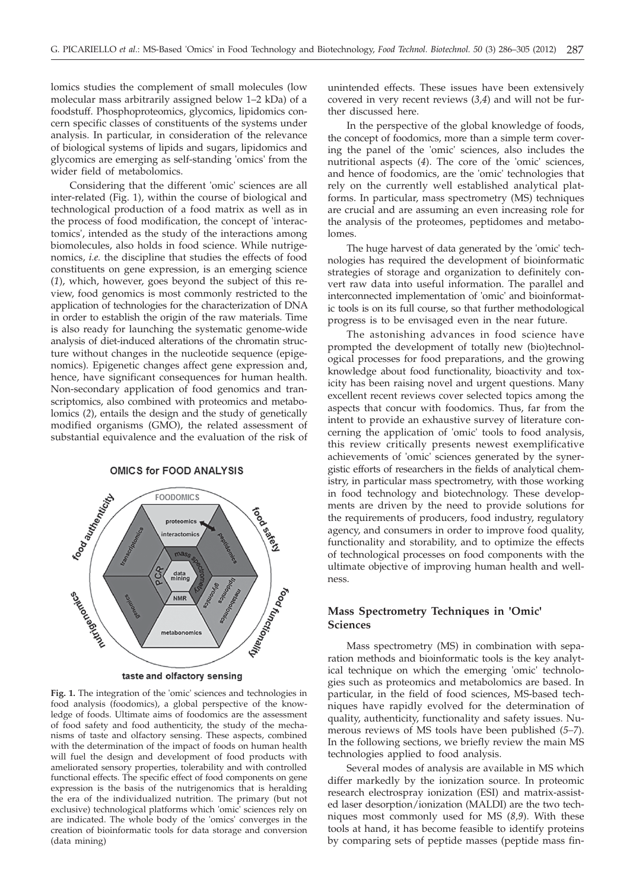lomics studies the complement of small molecules (low molecular mass arbitrarily assigned below 1–2 kDa) of a foodstuff. Phosphoproteomics, glycomics, lipidomics concern specific classes of constituents of the systems under analysis. In particular, in consideration of the relevance of biological systems of lipids and sugars, lipidomics and glycomics are emerging as self-standing 'omics' from the wider field of metabolomics.

Considering that the different 'omic' sciences are all inter-related (Fig. 1), within the course of biological and technological production of a food matrix as well as in the process of food modification, the concept of 'interactomics', intended as the study of the interactions among biomolecules, also holds in food science. While nutrigenomics, *i.e.* the discipline that studies the effects of food constituents on gene expression, is an emerging science (*1*), which, however, goes beyond the subject of this review, food genomics is most commonly restricted to the application of technologies for the characterization of DNA in order to establish the origin of the raw materials. Time is also ready for launching the systematic genome-wide analysis of diet-induced alterations of the chromatin structure without changes in the nucleotide sequence (epigenomics). Epigenetic changes affect gene expression and, hence, have significant consequences for human health. Non-secondary application of food genomics and transcriptomics, also combined with proteomics and metabolomics (*2*), entails the design and the study of genetically modified organisms (GMO), the related assessment of substantial equivalence and the evaluation of the risk of

#### **OMICS for FOOD ANALYSIS**



taste and olfactory sensing

**Fig. 1.** The integration of the 'omic' sciences and technologies in food analysis (foodomics), a global perspective of the knowledge of foods. Ultimate aims of foodomics are the assessment of food safety and food authenticity, the study of the mechanisms of taste and olfactory sensing. These aspects, combined with the determination of the impact of foods on human health will fuel the design and development of food products with ameliorated sensory properties, tolerability and with controlled functional effects. The specific effect of food components on gene expression is the basis of the nutrigenomics that is heralding the era of the individualized nutrition. The primary (but not exclusive) technological platforms which 'omic' sciences rely on are indicated. The whole body of the 'omics' converges in the creation of bioinformatic tools for data storage and conversion (data mining)

unintended effects. These issues have been extensively covered in very recent reviews (*3,4*) and will not be further discussed here.

In the perspective of the global knowledge of foods, the concept of foodomics, more than a simple term covering the panel of the 'omic' sciences, also includes the nutritional aspects (*4*). The core of the 'omic' sciences, and hence of foodomics, are the 'omic' technologies that rely on the currently well established analytical platforms. In particular, mass spectrometry (MS) techniques are crucial and are assuming an even increasing role for the analysis of the proteomes, peptidomes and metabolomes.

The huge harvest of data generated by the 'omic' technologies has required the development of bioinformatic strategies of storage and organization to definitely convert raw data into useful information. The parallel and interconnected implementation of 'omic' and bioinformatic tools is on its full course, so that further methodological progress is to be envisaged even in the near future.

The astonishing advances in food science have prompted the development of totally new (bio)technological processes for food preparations, and the growing knowledge about food functionality, bioactivity and toxicity has been raising novel and urgent questions. Many excellent recent reviews cover selected topics among the aspects that concur with foodomics. Thus, far from the intent to provide an exhaustive survey of literature concerning the application of 'omic' tools to food analysis, this review critically presents newest exemplificative achievements of 'omic' sciences generated by the synergistic efforts of researchers in the fields of analytical chemistry, in particular mass spectrometry, with those working in food technology and biotechnology. These developments are driven by the need to provide solutions for the requirements of producers, food industry, regulatory agency, and consumers in order to improve food quality, functionality and storability, and to optimize the effects of technological processes on food components with the ultimate objective of improving human health and wellness.

# **Mass Spectrometry Techniques in 'Omic' Sciences**

Mass spectrometry (MS) in combination with separation methods and bioinformatic tools is the key analytical technique on which the emerging 'omic' technologies such as proteomics and metabolomics are based. In particular, in the field of food sciences, MS-based techniques have rapidly evolved for the determination of quality, authenticity, functionality and safety issues. Numerous reviews of MS tools have been published (*5–7*). In the following sections, we briefly review the main MS technologies applied to food analysis.

Several modes of analysis are available in MS which differ markedly by the ionization source. In proteomic research electrospray ionization (ESI) and matrix-assisted laser desorption/ionization (MALDI) are the two techniques most commonly used for MS (*8,9*). With these tools at hand, it has become feasible to identify proteins by comparing sets of peptide masses (peptide mass fin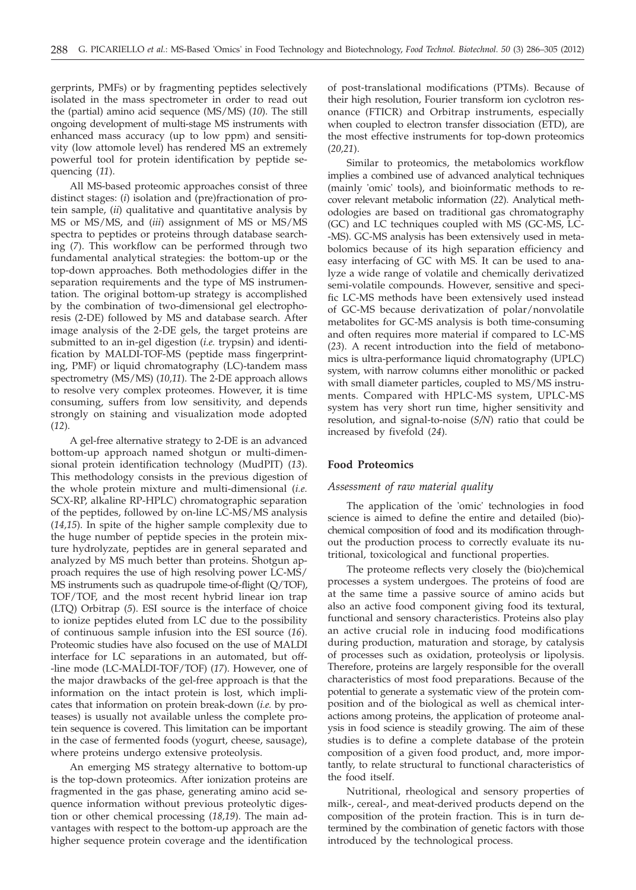gerprints, PMFs) or by fragmenting peptides selectively isolated in the mass spectrometer in order to read out the (partial) amino acid sequence (MS/MS) (*10*). The still ongoing development of multi-stage MS instruments with enhanced mass accuracy (up to low ppm) and sensitivity (low attomole level) has rendered MS an extremely powerful tool for protein identification by peptide sequencing (*11*).

All MS-based proteomic approaches consist of three distinct stages: (*i*) isolation and (pre)fractionation of protein sample, (*ii*) qualitative and quantitative analysis by MS or MS/MS, and (*iii*) assignment of MS or MS/MS spectra to peptides or proteins through database searching (*7*). This workflow can be performed through two fundamental analytical strategies: the bottom-up or the top-down approaches. Both methodologies differ in the separation requirements and the type of MS instrumentation. The original bottom-up strategy is accomplished by the combination of two-dimensional gel electrophoresis (2-DE) followed by MS and database search. After image analysis of the 2-DE gels, the target proteins are submitted to an in-gel digestion (*i.e.* trypsin) and identification by MALDI-TOF-MS (peptide mass fingerprinting, PMF) or liquid chromatography (LC)-tandem mass spectrometry (MS/MS) (*10,11*). The 2-DE approach allows to resolve very complex proteomes. However, it is time consuming, suffers from low sensitivity, and depends strongly on staining and visualization mode adopted (*12*).

A gel-free alternative strategy to 2-DE is an advanced bottom-up approach named shotgun or multi-dimensional protein identification technology (MudPIT) (*13*). This methodology consists in the previous digestion of the whole protein mixture and multi-dimensional (*i.e.* SCX-RP, alkaline RP-HPLC) chromatographic separation of the peptides, followed by on-line LC-MS/MS analysis (*14,15*). In spite of the higher sample complexity due to the huge number of peptide species in the protein mixture hydrolyzate, peptides are in general separated and analyzed by MS much better than proteins. Shotgun approach requires the use of high resolving power LC-MS/ MS instruments such as quadrupole time-of-flight (Q/TOF), TOF/TOF, and the most recent hybrid linear ion trap (LTQ) Orbitrap (*5*). ESI source is the interface of choice to ionize peptides eluted from LC due to the possibility of continuous sample infusion into the ESI source (*16*). Proteomic studies have also focused on the use of MALDI interface for LC separations in an automated, but off- -line mode (LC-MALDI-TOF/TOF) (*17*). However, one of the major drawbacks of the gel-free approach is that the information on the intact protein is lost, which implicates that information on protein break-down (*i.e.* by proteases) is usually not available unless the complete protein sequence is covered. This limitation can be important in the case of fermented foods (yogurt, cheese, sausage), where proteins undergo extensive proteolysis.

An emerging MS strategy alternative to bottom-up is the top-down proteomics. After ionization proteins are fragmented in the gas phase, generating amino acid sequence information without previous proteolytic digestion or other chemical processing (*18,19*). The main advantages with respect to the bottom-up approach are the higher sequence protein coverage and the identification of post-translational modifications (PTMs). Because of their high resolution, Fourier transform ion cyclotron resonance (FTICR) and Orbitrap instruments, especially when coupled to electron transfer dissociation (ETD), are the most effective instruments for top-down proteomics (*20,21*).

Similar to proteomics, the metabolomics workflow implies a combined use of advanced analytical techniques (mainly 'omic' tools), and bioinformatic methods to recover relevant metabolic information (*22*). Analytical methodologies are based on traditional gas chromatography (GC) and LC techniques coupled with MS (GC-MS, LC- -MS). GC-MS analysis has been extensively used in metabolomics because of its high separation efficiency and easy interfacing of GC with MS. It can be used to analyze a wide range of volatile and chemically derivatized semi-volatile compounds. However, sensitive and specific LC-MS methods have been extensively used instead of GC-MS because derivatization of polar/nonvolatile metabolites for GC-MS analysis is both time-consuming and often requires more material if compared to LC-MS (*23*). A recent introduction into the field of metabonomics is ultra-performance liquid chromatography (UPLC) system, with narrow columns either monolithic or packed with small diameter particles, coupled to MS/MS instruments. Compared with HPLC-MS system, UPLC-MS system has very short run time, higher sensitivity and resolution, and signal-to-noise (*S/N*) ratio that could be increased by fivefold (*24*).

# **Food Proteomics**

#### *Assessment of raw material quality*

The application of the 'omic' technologies in food science is aimed to define the entire and detailed (bio) chemical composition of food and its modification throughout the production process to correctly evaluate its nutritional, toxicological and functional properties.

The proteome reflects very closely the (bio)chemical processes a system undergoes. The proteins of food are at the same time a passive source of amino acids but also an active food component giving food its textural, functional and sensory characteristics. Proteins also play an active crucial role in inducing food modifications during production, maturation and storage, by catalysis of processes such as oxidation, proteolysis or lipolysis. Therefore, proteins are largely responsible for the overall characteristics of most food preparations. Because of the potential to generate a systematic view of the protein composition and of the biological as well as chemical interactions among proteins, the application of proteome analysis in food science is steadily growing. The aim of these studies is to define a complete database of the protein composition of a given food product, and, more importantly, to relate structural to functional characteristics of the food itself.

Nutritional, rheological and sensory properties of milk-, cereal-, and meat-derived products depend on the composition of the protein fraction. This is in turn determined by the combination of genetic factors with those introduced by the technological process.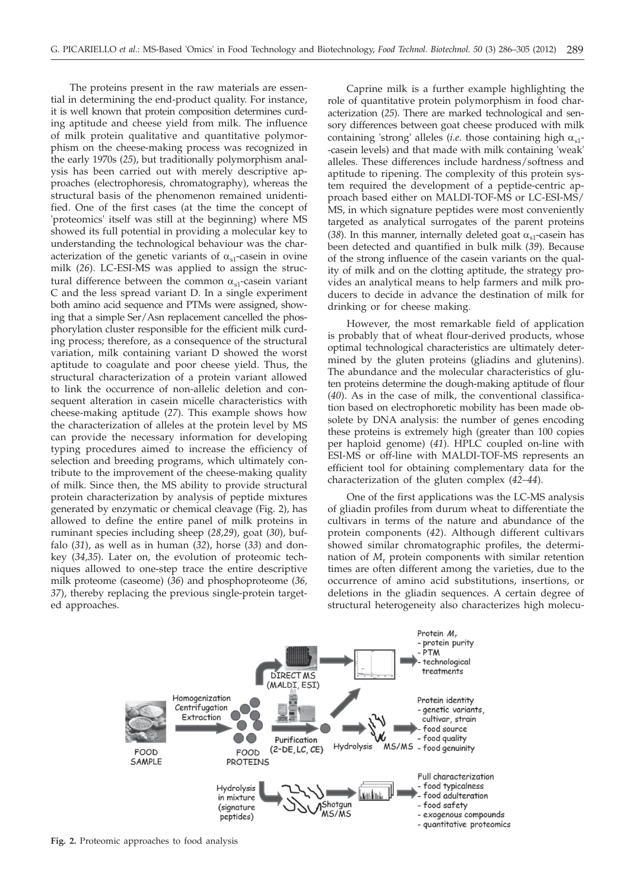The proteins present in the raw materials are essential in determining the end-product quality. For instance, it is well known that protein composition determines curding aptitude and cheese yield from milk. The influence of milk protein qualitative and quantitative polymorphism on the cheese-making process was recognized in the early 1970s (*25*), but traditionally polymorphism analysis has been carried out with merely descriptive approaches (electrophoresis, chromatography), whereas the structural basis of the phenomenon remained unidentified. One of the first cases (at the time the concept of 'proteomics' itself was still at the beginning) where MS showed its full potential in providing a molecular key to understanding the technological behaviour was the characterization of the genetic variants of  $\alpha_{s1}$ -casein in ovine milk (*26*). LC-ESI-MS was applied to assign the structural difference between the common  $\alpha_{s1}$ -casein variant C and the less spread variant D. In a single experiment both amino acid sequence and PTMs were assigned, showing that a simple Ser/Asn replacement cancelled the phosphorylation cluster responsible for the efficient milk curding process; therefore, as a consequence of the structural variation, milk containing variant D showed the worst aptitude to coagulate and poor cheese yield. Thus, the structural characterization of a protein variant allowed to link the occurrence of non-allelic deletion and consequent alteration in casein micelle characteristics with cheese-making aptitude (*27*). This example shows how the characterization of alleles at the protein level by MS can provide the necessary information for developing typing procedures aimed to increase the efficiency of selection and breeding programs, which ultimately contribute to the improvement of the cheese-making quality of milk. Since then, the MS ability to provide structural protein characterization by analysis of peptide mixtures generated by enzymatic or chemical cleavage (Fig. 2), has allowed to define the entire panel of milk proteins in ruminant species including sheep (*28,29*), goat (*30*), buffalo (*31*), as well as in human (*32*), horse (*33*) and donkey (*34,35*). Later on, the evolution of proteomic techniques allowed to one-step trace the entire descriptive milk proteome (caseome) (*36*) and phosphoproteome (*36, 37*), thereby replacing the previous single-protein targeted approaches.

Caprine milk is a further example highlighting the role of quantitative protein polymorphism in food characterization (*25*). There are marked technological and sensory differences between goat cheese produced with milk containing 'strong' alleles (*i.e.* those containing high  $\alpha_{s1}$ --casein levels) and that made with milk containing 'weak' alleles. These differences include hardness/softness and aptitude to ripening. The complexity of this protein system required the development of a peptide-centric approach based either on MALDI-TOF-MS or LC-ESI-MS/ MS, in which signature peptides were most conveniently targeted as analytical surrogates of the parent proteins (38). In this manner, internally deleted goat  $\alpha_{s1}$ -casein has been detected and quantified in bulk milk (*39*). Because of the strong influence of the casein variants on the quality of milk and on the clotting aptitude, the strategy provides an analytical means to help farmers and milk producers to decide in advance the destination of milk for drinking or for cheese making.

However, the most remarkable field of application is probably that of wheat flour-derived products, whose optimal technological characteristics are ultimately determined by the gluten proteins (gliadins and glutenins). The abundance and the molecular characteristics of gluten proteins determine the dough-making aptitude of flour (*40*). As in the case of milk, the conventional classification based on electrophoretic mobility has been made obsolete by DNA analysis: the number of genes encoding these proteins is extremely high (greater than 100 copies per haploid genome) (*41*). HPLC coupled on-line with ESI-MS or off-line with MALDI-TOF-MS represents an efficient tool for obtaining complementary data for the characterization of the gluten complex (*42–44*).

One of the first applications was the LC-MS analysis of gliadin profiles from durum wheat to differentiate the cultivars in terms of the nature and abundance of the protein components (*42*). Although different cultivars showed similar chromatographic profiles, the determination of *M*<sup>r</sup> protein components with similar retention times are often different among the varieties, due to the occurrence of amino acid substitutions, insertions, or deletions in the gliadin sequences. A certain degree of structural heterogeneity also characterizes high molecu-



**Fig. 2.** Proteomic approaches to food analysis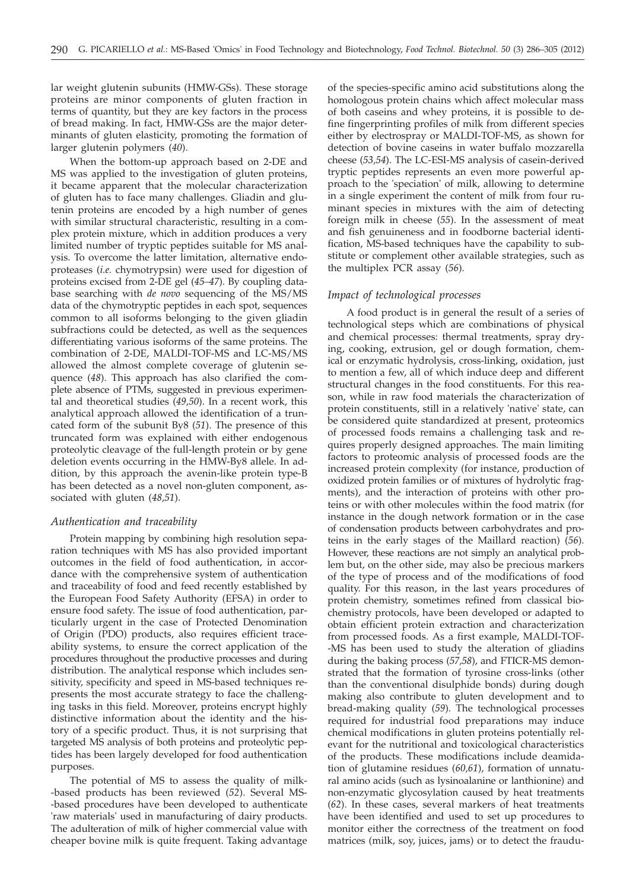lar weight glutenin subunits (HMW-GSs). These storage proteins are minor components of gluten fraction in terms of quantity, but they are key factors in the process of bread making. In fact, HMW-GSs are the major determinants of gluten elasticity, promoting the formation of larger glutenin polymers (*40*).

When the bottom-up approach based on 2-DE and MS was applied to the investigation of gluten proteins, it became apparent that the molecular characterization of gluten has to face many challenges. Gliadin and glutenin proteins are encoded by a high number of genes with similar structural characteristic, resulting in a complex protein mixture, which in addition produces a very limited number of tryptic peptides suitable for MS analysis. To overcome the latter limitation, alternative endoproteases (*i.e.* chymotrypsin) were used for digestion of proteins excised from 2-DE gel (*45–47*). By coupling database searching with *de novo* sequencing of the MS/MS data of the chymotryptic peptides in each spot, sequences common to all isoforms belonging to the given gliadin subfractions could be detected, as well as the sequences differentiating various isoforms of the same proteins. The combination of 2-DE, MALDI-TOF-MS and LC-MS/MS allowed the almost complete coverage of glutenin sequence (*48*). This approach has also clarified the complete absence of PTMs, suggested in previous experimental and theoretical studies (*49,50*). In a recent work, this analytical approach allowed the identification of a truncated form of the subunit By8 (*51*). The presence of this truncated form was explained with either endogenous proteolytic cleavage of the full-length protein or by gene deletion events occurring in the HMW-By8 allele. In addition, by this approach the avenin-like protein type-B has been detected as a novel non-gluten component, associated with gluten (*48,51*).

# *Authentication and traceability*

Protein mapping by combining high resolution separation techniques with MS has also provided important outcomes in the field of food authentication, in accordance with the comprehensive system of authentication and traceability of food and feed recently established by the European Food Safety Authority (EFSA) in order to ensure food safety. The issue of food authentication, particularly urgent in the case of Protected Denomination of Origin (PDO) products, also requires efficient traceability systems, to ensure the correct application of the procedures throughout the productive processes and during distribution. The analytical response which includes sensitivity, specificity and speed in MS-based techniques represents the most accurate strategy to face the challenging tasks in this field. Moreover, proteins encrypt highly distinctive information about the identity and the history of a specific product. Thus, it is not surprising that targeted MS analysis of both proteins and proteolytic peptides has been largely developed for food authentication purposes.

The potential of MS to assess the quality of milk- -based products has been reviewed (*52*). Several MS- -based procedures have been developed to authenticate 'raw materials' used in manufacturing of dairy products. The adulteration of milk of higher commercial value with cheaper bovine milk is quite frequent. Taking advantage

of the species-specific amino acid substitutions along the homologous protein chains which affect molecular mass of both caseins and whey proteins, it is possible to define fingerprinting profiles of milk from different species either by electrospray or MALDI-TOF-MS, as shown for detection of bovine caseins in water buffalo mozzarella cheese (*53,54*). The LC-ESI-MS analysis of casein-derived tryptic peptides represents an even more powerful approach to the 'speciation' of milk, allowing to determine in a single experiment the content of milk from four ruminant species in mixtures with the aim of detecting foreign milk in cheese (*55*). In the assessment of meat and fish genuineness and in foodborne bacterial identification, MS-based techniques have the capability to substitute or complement other available strategies, such as the multiplex PCR assay (*56*).

# *Impact of technological processes*

A food product is in general the result of a series of technological steps which are combinations of physical and chemical processes: thermal treatments, spray drying, cooking, extrusion, gel or dough formation, chemical or enzymatic hydrolysis, cross-linking, oxidation, just to mention a few, all of which induce deep and different structural changes in the food constituents. For this reason, while in raw food materials the characterization of protein constituents, still in a relatively 'native' state, can be considered quite standardized at present, proteomics of processed foods remains a challenging task and requires properly designed approaches. The main limiting factors to proteomic analysis of processed foods are the increased protein complexity (for instance, production of oxidized protein families or of mixtures of hydrolytic fragments), and the interaction of proteins with other proteins or with other molecules within the food matrix (for instance in the dough network formation or in the case of condensation products between carbohydrates and proteins in the early stages of the Maillard reaction) (*56*). However, these reactions are not simply an analytical problem but, on the other side, may also be precious markers of the type of process and of the modifications of food quality. For this reason, in the last years procedures of protein chemistry, sometimes refined from classical biochemistry protocols, have been developed or adapted to obtain efficient protein extraction and characterization from processed foods. As a first example, MALDI-TOF- -MS has been used to study the alteration of gliadins during the baking process (*57,58*), and FTICR-MS demonstrated that the formation of tyrosine cross-links (other than the conventional disulphide bonds) during dough making also contribute to gluten development and to bread-making quality (*59*). The technological processes required for industrial food preparations may induce chemical modifications in gluten proteins potentially relevant for the nutritional and toxicological characteristics of the products. These modifications include deamidation of glutamine residues (*60,61*), formation of unnatural amino acids (such as lysinoalanine or lanthionine) and non-enzymatic glycosylation caused by heat treatments (*62*). In these cases, several markers of heat treatments have been identified and used to set up procedures to monitor either the correctness of the treatment on food matrices (milk, soy, juices, jams) or to detect the fraudu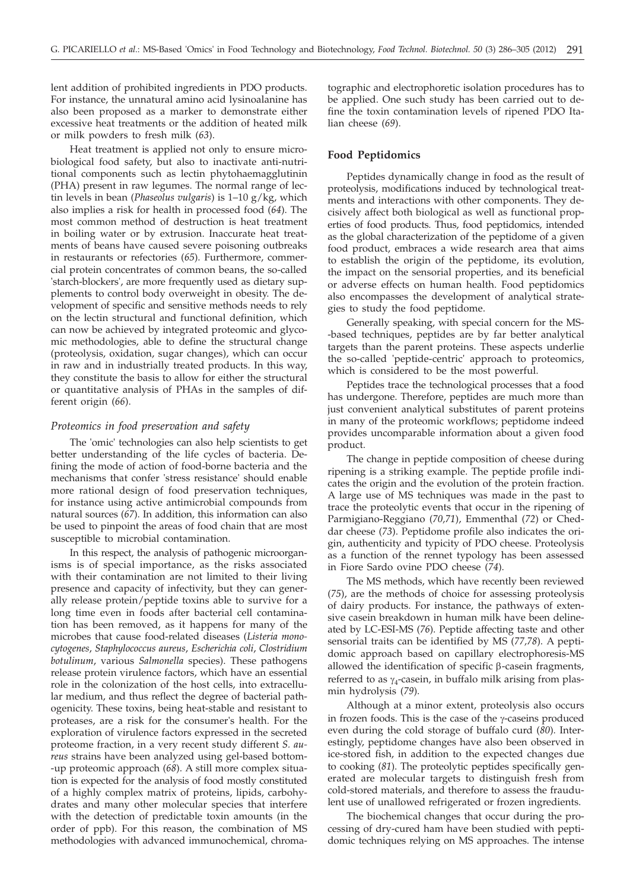lent addition of prohibited ingredients in PDO products. For instance, the unnatural amino acid lysinoalanine has also been proposed as a marker to demonstrate either excessive heat treatments or the addition of heated milk or milk powders to fresh milk (*63*).

Heat treatment is applied not only to ensure microbiological food safety, but also to inactivate anti-nutritional components such as lectin phytohaemagglutinin (PHA) present in raw legumes. The normal range of lectin levels in bean (*Phaseolus vulgaris*) is 1–10 g/kg, which also implies a risk for health in processed food (*64*). The most common method of destruction is heat treatment in boiling water or by extrusion. Inaccurate heat treatments of beans have caused severe poisoning outbreaks in restaurants or refectories (*65*). Furthermore, commercial protein concentrates of common beans, the so-called 'starch-blockers', are more frequently used as dietary supplements to control body overweight in obesity. The development of specific and sensitive methods needs to rely on the lectin structural and functional definition, which can now be achieved by integrated proteomic and glycomic methodologies, able to define the structural change (proteolysis, oxidation, sugar changes), which can occur in raw and in industrially treated products. In this way, they constitute the basis to allow for either the structural or quantitative analysis of PHAs in the samples of different origin (*66*).

#### *Proteomics in food preservation and safety*

The 'omic' technologies can also help scientists to get better understanding of the life cycles of bacteria. Defining the mode of action of food-borne bacteria and the mechanisms that confer 'stress resistance' should enable more rational design of food preservation techniques, for instance using active antimicrobial compounds from natural sources (*67*). In addition, this information can also be used to pinpoint the areas of food chain that are most susceptible to microbial contamination.

In this respect, the analysis of pathogenic microorganisms is of special importance, as the risks associated with their contamination are not limited to their living presence and capacity of infectivity, but they can generally release protein/peptide toxins able to survive for a long time even in foods after bacterial cell contamination has been removed, as it happens for many of the microbes that cause food-related diseases (*Listeria monocytogenes*, *Staphylococcus aureus*, *Escherichia coli*, *Clostridium botulinum*, various *Salmonella* species). These pathogens release protein virulence factors, which have an essential role in the colonization of the host cells, into extracellular medium, and thus reflect the degree of bacterial pathogenicity. These toxins, being heat-stable and resistant to proteases, are a risk for the consumer's health. For the exploration of virulence factors expressed in the secreted proteome fraction, in a very recent study different *S. aureus* strains have been analyzed using gel-based bottom- -up proteomic approach (*68*). A still more complex situation is expected for the analysis of food mostly constituted of a highly complex matrix of proteins, lipids, carbohydrates and many other molecular species that interfere with the detection of predictable toxin amounts (in the order of ppb). For this reason, the combination of MS methodologies with advanced immunochemical, chromatographic and electrophoretic isolation procedures has to be applied. One such study has been carried out to define the toxin contamination levels of ripened PDO Italian cheese (*69*).

#### **Food Peptidomics**

Peptides dynamically change in food as the result of proteolysis, modifications induced by technological treatments and interactions with other components. They decisively affect both biological as well as functional properties of food products. Thus, food peptidomics, intended as the global characterization of the peptidome of a given food product, embraces a wide research area that aims to establish the origin of the peptidome, its evolution, the impact on the sensorial properties, and its beneficial or adverse effects on human health. Food peptidomics also encompasses the development of analytical strategies to study the food peptidome.

Generally speaking, with special concern for the MS- -based techniques, peptides are by far better analytical targets than the parent proteins. These aspects underlie the so-called 'peptide-centric' approach to proteomics, which is considered to be the most powerful.

Peptides trace the technological processes that a food has undergone. Therefore, peptides are much more than just convenient analytical substitutes of parent proteins in many of the proteomic workflows; peptidome indeed provides uncomparable information about a given food product.

The change in peptide composition of cheese during ripening is a striking example. The peptide profile indicates the origin and the evolution of the protein fraction. A large use of MS techniques was made in the past to trace the proteolytic events that occur in the ripening of Parmigiano-Reggiano (*70,71*), Emmenthal (*72*) or Cheddar cheese (*73*). Peptidome profile also indicates the origin, authenticity and typicity of PDO cheese. Proteolysis as a function of the rennet typology has been assessed in Fiore Sardo ovine PDO cheese (*74*).

The MS methods, which have recently been reviewed (*75*), are the methods of choice for assessing proteolysis of dairy products. For instance, the pathways of extensive casein breakdown in human milk have been delineated by LC-ESI-MS (*76*). Peptide affecting taste and other sensorial traits can be identified by MS (*77,78*). A peptidomic approach based on capillary electrophoresis-MS allowed the identification of specific  $\beta$ -casein fragments, referred to as  $\gamma_4$ -casein, in buffalo milk arising from plasmin hydrolysis (*79*).

Although at a minor extent, proteolysis also occurs in frozen foods. This is the case of the  $\gamma$ -caseins produced even during the cold storage of buffalo curd (*80*). Interestingly, peptidome changes have also been observed in ice-stored fish, in addition to the expected changes due to cooking (*81*). The proteolytic peptides specifically generated are molecular targets to distinguish fresh from cold-stored materials, and therefore to assess the fraudulent use of unallowed refrigerated or frozen ingredients.

The biochemical changes that occur during the processing of dry-cured ham have been studied with peptidomic techniques relying on MS approaches. The intense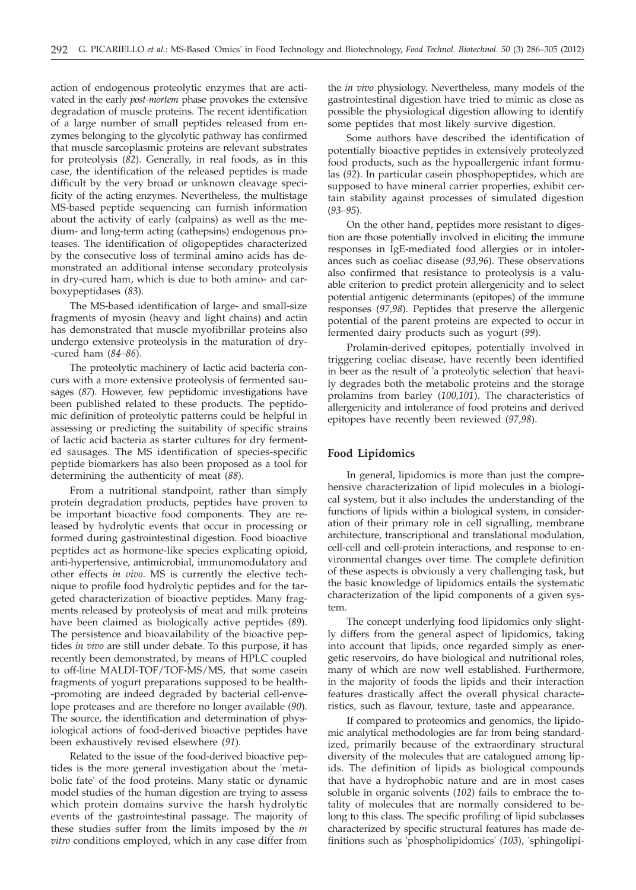action of endogenous proteolytic enzymes that are activated in the early *post-mortem* phase provokes the extensive degradation of muscle proteins. The recent identification of a large number of small peptides released from enzymes belonging to the glycolytic pathway has confirmed that muscle sarcoplasmic proteins are relevant substrates for proteolysis (*82*). Generally, in real foods, as in this case, the identification of the released peptides is made difficult by the very broad or unknown cleavage specificity of the acting enzymes. Nevertheless, the multistage MS-based peptide sequencing can furnish information about the activity of early (calpains) as well as the medium- and long-term acting (cathepsins) endogenous proteases. The identification of oligopeptides characterized by the consecutive loss of terminal amino acids has demonstrated an additional intense secondary proteolysis in dry-cured ham, which is due to both amino- and carboxypeptidases (*83*).

The MS-based identification of large- and small-size fragments of myosin (heavy and light chains) and actin has demonstrated that muscle myofibrillar proteins also undergo extensive proteolysis in the maturation of dry- -cured ham (*84–86*).

The proteolytic machinery of lactic acid bacteria concurs with a more extensive proteolysis of fermented sausages (*87*). However, few peptidomic investigations have been published related to these products. The peptidomic definition of proteolytic patterns could be helpful in assessing or predicting the suitability of specific strains of lactic acid bacteria as starter cultures for dry fermented sausages. The MS identification of species-specific peptide biomarkers has also been proposed as a tool for determining the authenticity of meat (*88*).

From a nutritional standpoint, rather than simply protein degradation products, peptides have proven to be important bioactive food components. They are released by hydrolytic events that occur in processing or formed during gastrointestinal digestion. Food bioactive peptides act as hormone-like species explicating opioid, anti-hypertensive, antimicrobial, immunomodulatory and other effects *in vivo*. MS is currently the elective technique to profile food hydrolytic peptides and for the targeted characterization of bioactive peptides. Many fragments released by proteolysis of meat and milk proteins have been claimed as biologically active peptides (*89*). The persistence and bioavailability of the bioactive peptides *in vivo* are still under debate. To this purpose, it has recently been demonstrated, by means of HPLC coupled to off-line MALDI-TOF/TOF-MS/MS, that some casein fragments of yogurt preparations supposed to be health- -promoting are indeed degraded by bacterial cell-envelope proteases and are therefore no longer available (*90*). The source, the identification and determination of physiological actions of food-derived bioactive peptides have been exhaustively revised elsewhere (*91*).

Related to the issue of the food-derived bioactive peptides is the more general investigation about the 'metabolic fate' of the food proteins. Many static or dynamic model studies of the human digestion are trying to assess which protein domains survive the harsh hydrolytic events of the gastrointestinal passage. The majority of these studies suffer from the limits imposed by the *in vitro* conditions employed, which in any case differ from

the *in vivo* physiology. Nevertheless, many models of the gastrointestinal digestion have tried to mimic as close as possible the physiological digestion allowing to identify some peptides that most likely survive digestion.

Some authors have described the identification of potentially bioactive peptides in extensively proteolyzed food products, such as the hypoallergenic infant formulas (*92*). In particular casein phosphopeptides, which are supposed to have mineral carrier properties, exhibit certain stability against processes of simulated digestion (*93–95*).

On the other hand, peptides more resistant to digestion are those potentially involved in eliciting the immune responses in IgE-mediated food allergies or in intolerances such as coeliac disease (*93,96*). These observations also confirmed that resistance to proteolysis is a valuable criterion to predict protein allergenicity and to select potential antigenic determinants (epitopes) of the immune responses (*97,98*). Peptides that preserve the allergenic potential of the parent proteins are expected to occur in fermented dairy products such as yogurt (*99*).

Prolamin-derived epitopes, potentially involved in triggering coeliac disease, have recently been identified in beer as the result of 'a proteolytic selection' that heavily degrades both the metabolic proteins and the storage prolamins from barley (*100,101*). The characteristics of allergenicity and intolerance of food proteins and derived epitopes have recently been reviewed (*97,98*).

# **Food Lipidomics**

In general, lipidomics is more than just the comprehensive characterization of lipid molecules in a biological system, but it also includes the understanding of the functions of lipids within a biological system, in consideration of their primary role in cell signalling, membrane architecture, transcriptional and translational modulation, cell-cell and cell-protein interactions, and response to environmental changes over time. The complete definition of these aspects is obviously a very challenging task, but the basic knowledge of lipidomics entails the systematic characterization of the lipid components of a given system.

The concept underlying food lipidomics only slightly differs from the general aspect of lipidomics, taking into account that lipids, once regarded simply as energetic reservoirs, do have biological and nutritional roles, many of which are now well established. Furthermore, in the majority of foods the lipids and their interaction features drastically affect the overall physical characteristics, such as flavour, texture, taste and appearance.

If compared to proteomics and genomics, the lipidomic analytical methodologies are far from being standardized, primarily because of the extraordinary structural diversity of the molecules that are catalogued among lipids. The definition of lipids as biological compounds that have a hydrophobic nature and are in most cases soluble in organic solvents (*102*) fails to embrace the totality of molecules that are normally considered to belong to this class. The specific profiling of lipid subclasses characterized by specific structural features has made definitions such as 'phospholipidomics' (*103*), 'sphingolipi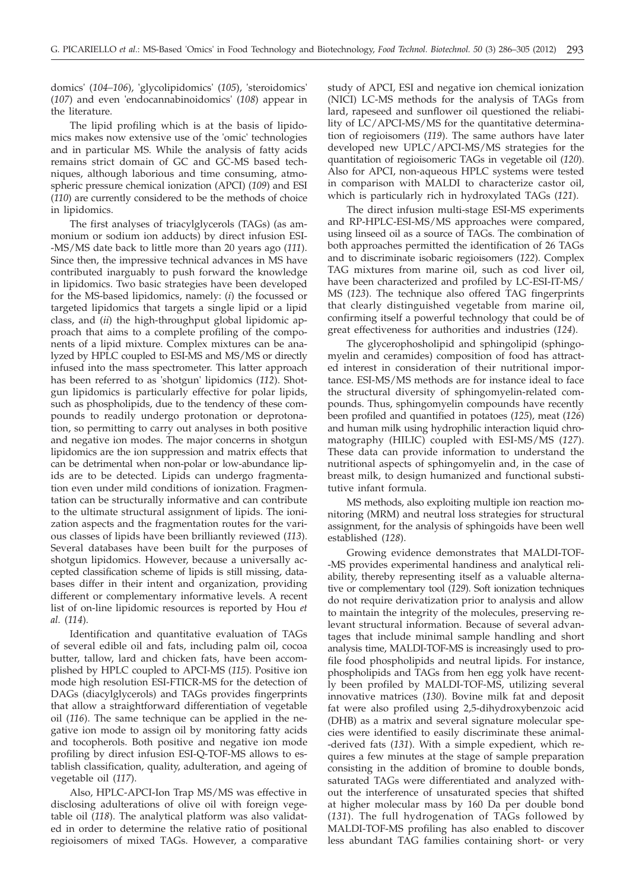domics' (*104–106*), 'glycolipidomics' (*105*), 'steroidomics' (*107*) and even 'endocannabinoidomics' (*108*) appear in the literature.

The lipid profiling which is at the basis of lipidomics makes now extensive use of the 'omic' technologies and in particular MS. While the analysis of fatty acids remains strict domain of GC and GC-MS based techniques, although laborious and time consuming, atmospheric pressure chemical ionization (APCI) (*109*) and ESI (*110*) are currently considered to be the methods of choice in lipidomics.

The first analyses of triacylglycerols (TAGs) (as ammonium or sodium ion adducts) by direct infusion ESI- -MS/MS date back to little more than 20 years ago (*111*). Since then, the impressive technical advances in MS have contributed inarguably to push forward the knowledge in lipidomics. Two basic strategies have been developed for the MS-based lipidomics, namely: (*i*) the focussed or targeted lipidomics that targets a single lipid or a lipid class, and (*ii*) the high-throughput global lipidomic approach that aims to a complete profiling of the components of a lipid mixture. Complex mixtures can be analyzed by HPLC coupled to ESI-MS and MS/MS or directly infused into the mass spectrometer. This latter approach has been referred to as 'shotgun' lipidomics (*112*). Shotgun lipidomics is particularly effective for polar lipids, such as phospholipids, due to the tendency of these compounds to readily undergo protonation or deprotonation, so permitting to carry out analyses in both positive and negative ion modes. The major concerns in shotgun lipidomics are the ion suppression and matrix effects that can be detrimental when non-polar or low-abundance lipids are to be detected. Lipids can undergo fragmentation even under mild conditions of ionization. Fragmentation can be structurally informative and can contribute to the ultimate structural assignment of lipids. The ionization aspects and the fragmentation routes for the various classes of lipids have been brilliantly reviewed (*113*). Several databases have been built for the purposes of shotgun lipidomics. However, because a universally accepted classification scheme of lipids is still missing, databases differ in their intent and organization, providing different or complementary informative levels. A recent list of on-line lipidomic resources is reported by Hou *et al.* (*114*).

Identification and quantitative evaluation of TAGs of several edible oil and fats, including palm oil, cocoa butter, tallow, lard and chicken fats, have been accomplished by HPLC coupled to APCI-MS (*115*). Positive ion mode high resolution ESI-FTICR-MS for the detection of DAGs (diacylglycerols) and TAGs provides fingerprints that allow a straightforward differentiation of vegetable oil (*116*). The same technique can be applied in the negative ion mode to assign oil by monitoring fatty acids and tocopherols. Both positive and negative ion mode profiling by direct infusion ESI-Q-TOF-MS allows to establish classification, quality, adulteration, and ageing of vegetable oil (*117*).

Also, HPLC-APCI-Ion Trap MS/MS was effective in disclosing adulterations of olive oil with foreign vegetable oil (*118*). The analytical platform was also validated in order to determine the relative ratio of positional regioisomers of mixed TAGs. However, a comparative

study of APCI, ESI and negative ion chemical ionization (NICI) LC-MS methods for the analysis of TAGs from lard, rapeseed and sunflower oil questioned the reliability of LC/APCI-MS/MS for the quantitative determination of regioisomers (*119*). The same authors have later developed new UPLC/APCI-MS/MS strategies for the quantitation of regioisomeric TAGs in vegetable oil (*120*). Also for APCI, non-aqueous HPLC systems were tested in comparison with MALDI to characterize castor oil, which is particularly rich in hydroxylated TAGs (*121*).

The direct infusion multi-stage ESI-MS experiments and RP-HPLC-ESI-MS/MS approaches were compared, using linseed oil as a source of TAGs. The combination of both approaches permitted the identification of 26 TAGs and to discriminate isobaric regioisomers (*122*). Complex TAG mixtures from marine oil, such as cod liver oil, have been characterized and profiled by LC-ESI-IT-MS/ MS (*123*). The technique also offered TAG fingerprints that clearly distinguished vegetable from marine oil, confirming itself a powerful technology that could be of great effectiveness for authorities and industries (*124*).

The glycerophosholipid and sphingolipid (sphingomyelin and ceramides) composition of food has attracted interest in consideration of their nutritional importance. ESI-MS/MS methods are for instance ideal to face the structural diversity of sphingomyelin-related compounds. Thus, sphingomyelin compounds have recently been profiled and quantified in potatoes (*125*), meat (*126*) and human milk using hydrophilic interaction liquid chromatography (HILIC) coupled with ESI-MS/MS (*127*). These data can provide information to understand the nutritional aspects of sphingomyelin and, in the case of breast milk, to design humanized and functional substitutive infant formula.

MS methods, also exploiting multiple ion reaction monitoring (MRM) and neutral loss strategies for structural assignment, for the analysis of sphingoids have been well established (*128*).

Growing evidence demonstrates that MALDI-TOF- -MS provides experimental handiness and analytical reliability, thereby representing itself as a valuable alternative or complementary tool (*129*). Soft ionization techniques do not require derivatization prior to analysis and allow to maintain the integrity of the molecules, preserving relevant structural information. Because of several advantages that include minimal sample handling and short analysis time, MALDI-TOF-MS is increasingly used to profile food phospholipids and neutral lipids. For instance, phospholipids and TAGs from hen egg yolk have recently been profiled by MALDI-TOF-MS, utilizing several innovative matrices (*130*). Bovine milk fat and deposit fat were also profiled using 2,5-dihydroxybenzoic acid (DHB) as a matrix and several signature molecular species were identified to easily discriminate these animal- -derived fats (*131*). With a simple expedient, which requires a few minutes at the stage of sample preparation consisting in the addition of bromine to double bonds, saturated TAGs were differentiated and analyzed without the interference of unsaturated species that shifted at higher molecular mass by 160 Da per double bond (*131*). The full hydrogenation of TAGs followed by MALDI-TOF-MS profiling has also enabled to discover less abundant TAG families containing short- or very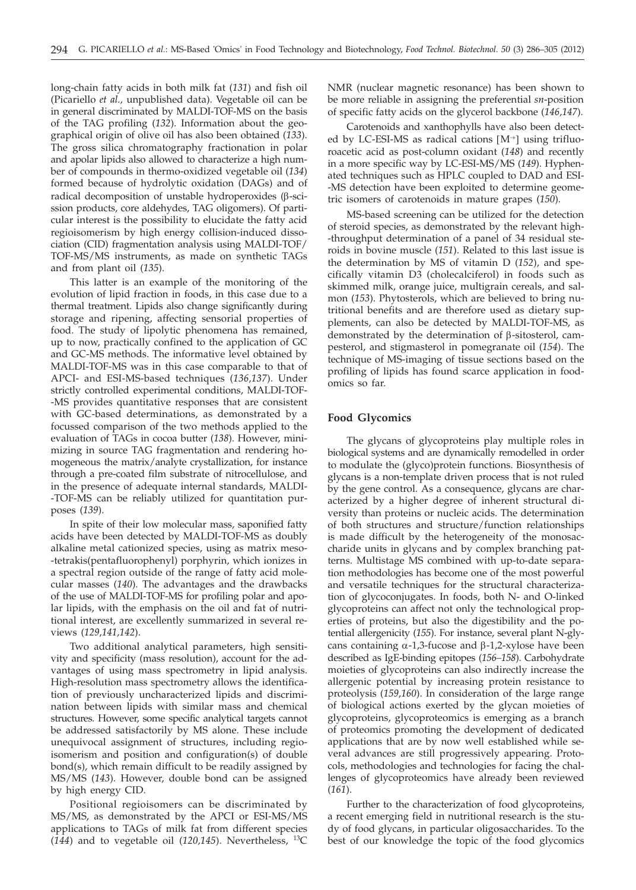long-chain fatty acids in both milk fat (*131*) and fish oil (Picariello *et al.,* unpublished data). Vegetable oil can be in general discriminated by MALDI-TOF-MS on the basis of the TAG profiling (*132*). Information about the geographical origin of olive oil has also been obtained (*133*). The gross silica chromatography fractionation in polar and apolar lipids also allowed to characterize a high number of compounds in thermo-oxidized vegetable oil (*134*) formed because of hydrolytic oxidation (DAGs) and of radical decomposition of unstable hydroperoxides  $(\beta$ -scission products, core aldehydes, TAG oligomers). Of particular interest is the possibility to elucidate the fatty acid regioisomerism by high energy collision-induced dissociation (CID) fragmentation analysis using MALDI-TOF/ TOF-MS/MS instruments, as made on synthetic TAGs and from plant oil (*135*).

This latter is an example of the monitoring of the evolution of lipid fraction in foods, in this case due to a thermal treatment. Lipids also change significantly during storage and ripening, affecting sensorial properties of food. The study of lipolytic phenomena has remained, up to now, practically confined to the application of GC and GC-MS methods. The informative level obtained by MALDI-TOF-MS was in this case comparable to that of APCI- and ESI-MS-based techniques (*136,137*). Under strictly controlled experimental conditions, MALDI-TOF- -MS provides quantitative responses that are consistent with GC-based determinations, as demonstrated by a focussed comparison of the two methods applied to the evaluation of TAGs in cocoa butter (*138*). However, minimizing in source TAG fragmentation and rendering homogeneous the matrix/analyte crystallization, for instance through a pre-coated film substrate of nitrocellulose, and in the presence of adequate internal standards, MALDI- -TOF-MS can be reliably utilized for quantitation purposes (*139*).

In spite of their low molecular mass, saponified fatty acids have been detected by MALDI-TOF-MS as doubly alkaline metal cationized species, using as matrix meso- -tetrakis(pentafluorophenyl) porphyrin, which ionizes in a spectral region outside of the range of fatty acid molecular masses (*140*). The advantages and the drawbacks of the use of MALDI-TOF-MS for profiling polar and apolar lipids, with the emphasis on the oil and fat of nutritional interest, are excellently summarized in several reviews (*129,141,142*).

Two additional analytical parameters, high sensitivity and specificity (mass resolution), account for the advantages of using mass spectrometry in lipid analysis. High-resolution mass spectrometry allows the identification of previously uncharacterized lipids and discrimination between lipids with similar mass and chemical structures. However, some specific analytical targets cannot be addressed satisfactorily by MS alone. These include unequivocal assignment of structures, including regioisomerism and position and configuration(s) of double bond(s), which remain difficult to be readily assigned by MS/MS (*143*). However, double bond can be assigned by high energy CID.

Positional regioisomers can be discriminated by MS/MS, as demonstrated by the APCI or ESI-MS/MS applications to TAGs of milk fat from different species (*144*) and to vegetable oil (*120,145*). Nevertheless, 13C NMR (nuclear magnetic resonance) has been shown to be more reliable in assigning the preferential *sn*-position of specific fatty acids on the glycerol backbone (*146,147*).

Carotenoids and xanthophylls have also been detected by LC-ESI-MS as radical cations [M<sup>+</sup>] using trifluoroacetic acid as post-column oxidant (*148*) and recently in a more specific way by LC-ESI-MS/MS (*149*). Hyphenated techniques such as HPLC coupled to DAD and ESI- -MS detection have been exploited to determine geometric isomers of carotenoids in mature grapes (*150*).

MS-based screening can be utilized for the detection of steroid species, as demonstrated by the relevant high- -throughput determination of a panel of 34 residual steroids in bovine muscle (*151*). Related to this last issue is the determination by MS of vitamin D (*152*), and specifically vitamin D3 (cholecalciferol) in foods such as skimmed milk, orange juice, multigrain cereals, and salmon (*153*). Phytosterols, which are believed to bring nutritional benefits and are therefore used as dietary supplements, can also be detected by MALDI-TOF-MS, as demonstrated by the determination of  $\beta$ -sitosterol, campesterol, and stigmasterol in pomegranate oil (*154*). The technique of MS-imaging of tissue sections based on the profiling of lipids has found scarce application in foodomics so far.

## **Food Glycomics**

The glycans of glycoproteins play multiple roles in biological systems and are dynamically remodelled in order to modulate the (glyco)protein functions. Biosynthesis of glycans is a non-template driven process that is not ruled by the gene control. As a consequence, glycans are characterized by a higher degree of inherent structural diversity than proteins or nucleic acids. The determination of both structures and structure/function relationships is made difficult by the heterogeneity of the monosaccharide units in glycans and by complex branching patterns. Multistage MS combined with up-to-date separation methodologies has become one of the most powerful and versatile techniques for the structural characterization of glycoconjugates. In foods, both N- and O-linked glycoproteins can affect not only the technological properties of proteins, but also the digestibility and the potential allergenicity (*155*). For instance, several plant N-glycans containing  $\alpha$ -1,3-fucose and  $\beta$ -1,2-xylose have been described as IgE-binding epitopes (*156–158*). Carbohydrate moieties of glycoproteins can also indirectly increase the allergenic potential by increasing protein resistance to proteolysis (*159,160*). In consideration of the large range of biological actions exerted by the glycan moieties of glycoproteins, glycoproteomics is emerging as a branch of proteomics promoting the development of dedicated applications that are by now well established while several advances are still progressively appearing. Protocols, methodologies and technologies for facing the challenges of glycoproteomics have already been reviewed (*161*).

Further to the characterization of food glycoproteins, a recent emerging field in nutritional research is the study of food glycans, in particular oligosaccharides. To the best of our knowledge the topic of the food glycomics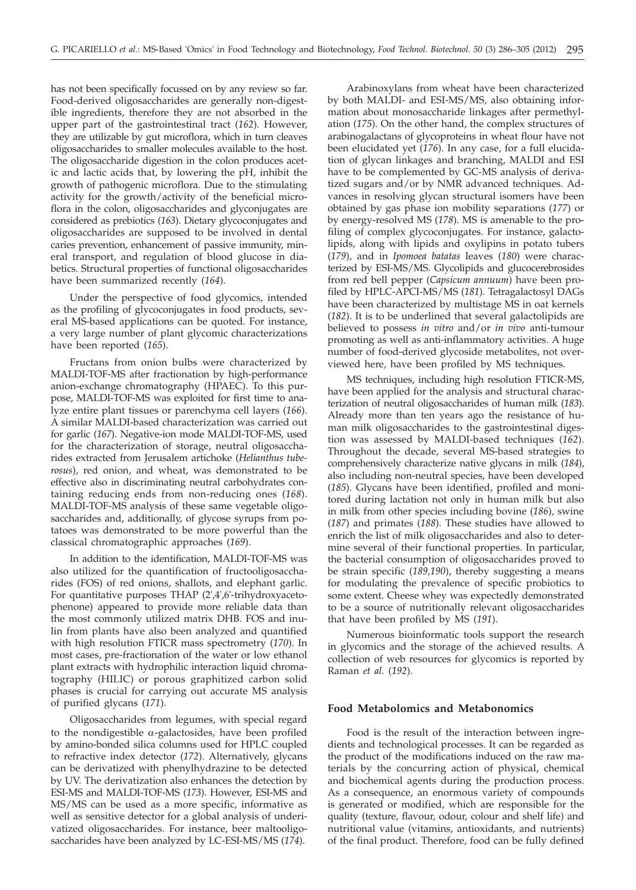has not been specifically focussed on by any review so far. Food-derived oligosaccharides are generally non-digestible ingredients, therefore they are not absorbed in the upper part of the gastrointestinal tract (*162*). However, they are utilizable by gut microflora, which in turn cleaves oligosaccharides to smaller molecules available to the host. The oligosaccharide digestion in the colon produces acetic and lactic acids that, by lowering the pH, inhibit the growth of pathogenic microflora. Due to the stimulating activity for the growth/activity of the beneficial microflora in the colon, oligosaccharides and glyconjugates are considered as prebiotics (*163*). Dietary glycoconjugates and oligosaccharides are supposed to be involved in dental caries prevention, enhancement of passive immunity, mineral transport, and regulation of blood glucose in diabetics. Structural properties of functional oligosaccharides have been summarized recently (*164*).

Under the perspective of food glycomics, intended as the profiling of glycoconjugates in food products, several MS-based applications can be quoted. For instance, a very large number of plant glycomic characterizations have been reported (*165*).

Fructans from onion bulbs were characterized by MALDI-TOF-MS after fractionation by high-performance anion-exchange chromatography (HPAEC). To this purpose, MALDI-TOF-MS was exploited for first time to analyze entire plant tissues or parenchyma cell layers (*166*). A similar MALDI-based characterization was carried out for garlic (*167*). Negative-ion mode MALDI-TOF-MS, used for the characterization of storage, neutral oligosaccharides extracted from Jerusalem artichoke (*Helianthus tuberosus*), red onion, and wheat, was demonstrated to be effective also in discriminating neutral carbohydrates containing reducing ends from non-reducing ones (*168*). MALDI-TOF-MS analysis of these same vegetable oligosaccharides and, additionally, of glycose syrups from potatoes was demonstrated to be more powerful than the classical chromatographic approaches (*169*).

In addition to the identification, MALDI-TOF-MS was also utilized for the quantification of fructooligosaccharides (FOS) of red onions, shallots, and elephant garlic. For quantitative purposes THAP (2',4',6'-trihydroxyacetophenone) appeared to provide more reliable data than the most commonly utilized matrix DHB. FOS and inulin from plants have also been analyzed and quantified with high resolution FTICR mass spectrometry (*170*). In most cases, pre-fractionation of the water or low ethanol plant extracts with hydrophilic interaction liquid chromatography (HILIC) or porous graphitized carbon solid phases is crucial for carrying out accurate MS analysis of purified glycans (*171*).

Oligosaccharides from legumes, with special regard to the nondigestible  $\alpha$ -galactosides, have been profiled by amino-bonded silica columns used for HPLC coupled to refractive index detector (*172*). Alternatively, glycans can be derivatized with phenylhydrazine to be detected by UV. The derivatization also enhances the detection by ESI-MS and MALDI-TOF-MS (*173*). However, ESI-MS and MS/MS can be used as a more specific, informative as well as sensitive detector for a global analysis of underivatized oligosaccharides. For instance, beer maltooligosaccharides have been analyzed by LC-ESI-MS/MS (*174*).

Arabinoxylans from wheat have been characterized by both MALDI- and ESI-MS/MS, also obtaining information about monosaccharide linkages after permethylation (*175*). On the other hand, the complex structures of arabinogalactans of glycoproteins in wheat flour have not been elucidated yet (*176*). In any case, for a full elucidation of glycan linkages and branching, MALDI and ESI have to be complemented by GC-MS analysis of derivatized sugars and/or by NMR advanced techniques. Advances in resolving glycan structural isomers have been obtained by gas phase ion mobility separations (*177*) or by energy-resolved MS (*178*). MS is amenable to the profiling of complex glycoconjugates. For instance, galactolipids, along with lipids and oxylipins in potato tubers (*179*), and in *Ipomoea batatas* leaves (*180*) were characterized by ESI-MS/MS. Glycolipids and glucocerebrosides from red bell pepper (*Capsicum annuum*) have been profiled by HPLC-APCI-MS/MS (*181*). Tetragalactosyl DAGs have been characterized by multistage MS in oat kernels (*182*). It is to be underlined that several galactolipids are believed to possess *in vitro* and/or *in vivo* anti-tumour promoting as well as anti-inflammatory activities. A huge number of food-derived glycoside metabolites, not overviewed here, have been profiled by MS techniques.

MS techniques, including high resolution FTICR-MS, have been applied for the analysis and structural characterization of neutral oligosaccharides of human milk (*183*). Already more than ten years ago the resistance of human milk oligosaccharides to the gastrointestinal digestion was assessed by MALDI-based techniques (*162*). Throughout the decade, several MS-based strategies to comprehensively characterize native glycans in milk (*184*), also including non-neutral species, have been developed (*185*). Glycans have been identified, profiled and monitored during lactation not only in human milk but also in milk from other species including bovine (*186*), swine (*187*) and primates (*188*). These studies have allowed to enrich the list of milk oligosaccharides and also to determine several of their functional properties. In particular, the bacterial consumption of oligosaccharides proved to be strain specific (*189,190*), thereby suggesting a means for modulating the prevalence of specific probiotics to some extent. Cheese whey was expectedly demonstrated to be a source of nutritionally relevant oligosaccharides that have been profiled by MS (*191*).

Numerous bioinformatic tools support the research in glycomics and the storage of the achieved results. A collection of web resources for glycomics is reported by Raman *et al.* (*192*).

#### **Food Metabolomics and Metabonomics**

Food is the result of the interaction between ingredients and technological processes. It can be regarded as the product of the modifications induced on the raw materials by the concurring action of physical, chemical and biochemical agents during the production process. As a consequence, an enormous variety of compounds is generated or modified, which are responsible for the quality (texture, flavour, odour, colour and shelf life) and nutritional value (vitamins, antioxidants, and nutrients) of the final product. Therefore, food can be fully defined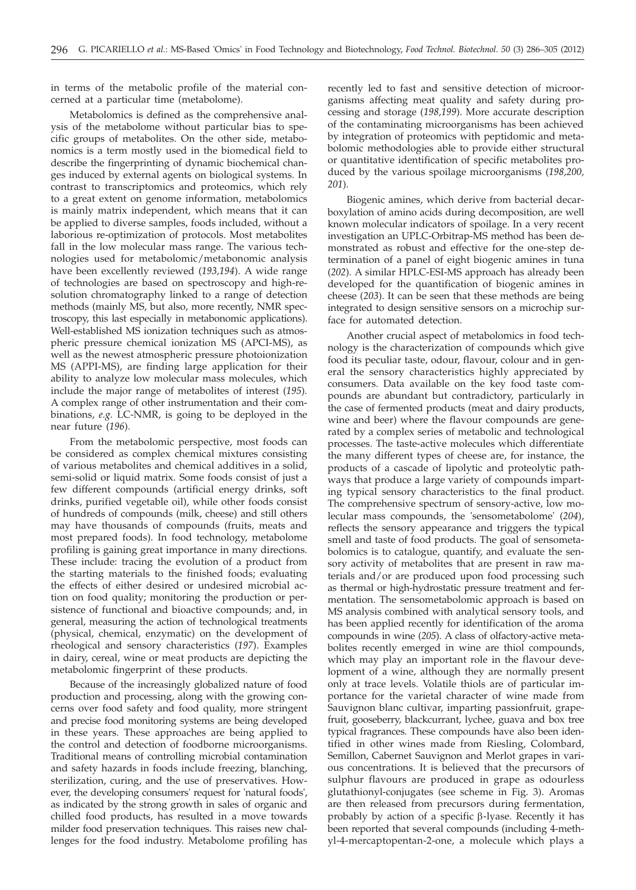in terms of the metabolic profile of the material concerned at a particular time (metabolome).

Metabolomics is defined as the comprehensive analysis of the metabolome without particular bias to specific groups of metabolites. On the other side, metabonomics is a term mostly used in the biomedical field to describe the fingerprinting of dynamic biochemical changes induced by external agents on biological systems. In contrast to transcriptomics and proteomics, which rely to a great extent on genome information, metabolomics is mainly matrix independent, which means that it can be applied to diverse samples, foods included, without a laborious re-optimization of protocols. Most metabolites fall in the low molecular mass range. The various technologies used for metabolomic/metabonomic analysis have been excellently reviewed (*193,194*). A wide range of technologies are based on spectroscopy and high-resolution chromatography linked to a range of detection methods (mainly MS, but also, more recently, NMR spectroscopy, this last especially in metabonomic applications). Well-established MS ionization techniques such as atmospheric pressure chemical ionization MS (APCI-MS), as well as the newest atmospheric pressure photoionization MS (APPI-MS), are finding large application for their ability to analyze low molecular mass molecules, which include the major range of metabolites of interest (*195*)*.* A complex range of other instrumentation and their combinations, *e.g.* LC-NMR, is going to be deployed in the near future (*196*).

From the metabolomic perspective, most foods can be considered as complex chemical mixtures consisting of various metabolites and chemical additives in a solid, semi-solid or liquid matrix. Some foods consist of just a few different compounds (artificial energy drinks, soft drinks, purified vegetable oil), while other foods consist of hundreds of compounds (milk, cheese) and still others may have thousands of compounds (fruits, meats and most prepared foods). In food technology, metabolome profiling is gaining great importance in many directions. These include: tracing the evolution of a product from the starting materials to the finished foods; evaluating the effects of either desired or undesired microbial action on food quality; monitoring the production or persistence of functional and bioactive compounds; and, in general, measuring the action of technological treatments (physical, chemical, enzymatic) on the development of rheological and sensory characteristics (*197*). Examples in dairy, cereal, wine or meat products are depicting the metabolomic fingerprint of these products.

Because of the increasingly globalized nature of food production and processing, along with the growing concerns over food safety and food quality, more stringent and precise food monitoring systems are being developed in these years. These approaches are being applied to the control and detection of foodborne microorganisms. Traditional means of controlling microbial contamination and safety hazards in foods include freezing, blanching, sterilization, curing, and the use of preservatives. However, the developing consumers' request for 'natural foods', as indicated by the strong growth in sales of organic and chilled food products, has resulted in a move towards milder food preservation techniques. This raises new challenges for the food industry. Metabolome profiling has

recently led to fast and sensitive detection of microorganisms affecting meat quality and safety during processing and storage (*198,199*). More accurate description of the contaminating microorganisms has been achieved by integration of proteomics with peptidomic and metabolomic methodologies able to provide either structural or quantitative identification of specific metabolites produced by the various spoilage microorganisms (*198,200, 201*).

Biogenic amines, which derive from bacterial decarboxylation of amino acids during decomposition, are well known molecular indicators of spoilage. In a very recent investigation an UPLC-Orbitrap-MS method has been demonstrated as robust and effective for the one-step determination of a panel of eight biogenic amines in tuna (*202*). A similar HPLC-ESI-MS approach has already been developed for the quantification of biogenic amines in cheese (*203*). It can be seen that these methods are being integrated to design sensitive sensors on a microchip surface for automated detection.

Another crucial aspect of metabolomics in food technology is the characterization of compounds which give food its peculiar taste, odour, flavour, colour and in general the sensory characteristics highly appreciated by consumers. Data available on the key food taste compounds are abundant but contradictory, particularly in the case of fermented products (meat and dairy products, wine and beer) where the flavour compounds are generated by a complex series of metabolic and technological processes. The taste-active molecules which differentiate the many different types of cheese are, for instance, the products of a cascade of lipolytic and proteolytic pathways that produce a large variety of compounds imparting typical sensory characteristics to the final product. The comprehensive spectrum of sensory-active, low molecular mass compounds, the 'sensometabolome' (*204*), reflects the sensory appearance and triggers the typical smell and taste of food products. The goal of sensometabolomics is to catalogue, quantify, and evaluate the sensory activity of metabolites that are present in raw materials and/or are produced upon food processing such as thermal or high-hydrostatic pressure treatment and fermentation. The sensometabolomic approach is based on MS analysis combined with analytical sensory tools, and has been applied recently for identification of the aroma compounds in wine (*205*). A class of olfactory-active metabolites recently emerged in wine are thiol compounds, which may play an important role in the flavour development of a wine, although they are normally present only at trace levels. Volatile thiols are of particular importance for the varietal character of wine made from Sauvignon blanc cultivar, imparting passionfruit, grapefruit, gooseberry, blackcurrant, lychee, guava and box tree typical fragrances. These compounds have also been identified in other wines made from Riesling, Colombard, Semillon, Cabernet Sauvignon and Merlot grapes in various concentrations. It is believed that the precursors of sulphur flavours are produced in grape as odourless glutathionyl-conjugates (see scheme in Fig. 3). Aromas are then released from precursors during fermentation, probably by action of a specific  $\beta$ -lyase. Recently it has been reported that several compounds (including 4-methyl-4-mercaptopentan-2-one, a molecule which plays a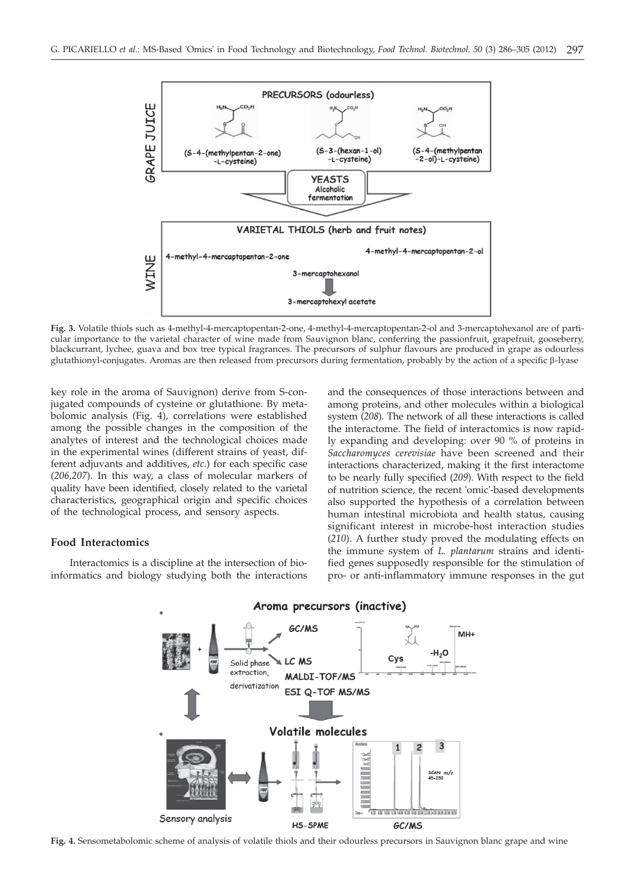

**Fig. 3.** Volatile thiols such as 4-methyl-4-mercaptopentan-2-one, 4-methyl-4-mercaptopentan-2-ol and 3-mercaptohexanol are of particular importance to the varietal character of wine made from Sauvignon blanc, conferring the passionfruit, grapefruit, gooseberry, blackcurrant, lychee, guava and box tree typical fragrances. The precursors of sulphur flavours are produced in grape as odourless glutathionyl-conjugates. Aromas are then released from precursors during fermentation, probably by the action of a specific  $\beta$ -lyase

key role in the aroma of Sauvignon) derive from S-conjugated compounds of cysteine or glutathione. By metabolomic analysis (Fig. 4), correlations were established among the possible changes in the composition of the analytes of interest and the technological choices made in the experimental wines (different strains of yeast, different adjuvants and additives, *etc.*) for each specific case (*206,207*). In this way, a class of molecular markers of quality have been identified, closely related to the varietal characteristics, geographical origin and specific choices of the technological process, and sensory aspects.

# **Food Interactomics**

Interactomics is a discipline at the intersection of bioinformatics and biology studying both the interactions

and the consequences of those interactions between and among proteins, and other molecules within a biological system (*208*). The network of all these interactions is called the interactome. The field of interactomics is now rapidly expanding and developing: over 90 % of proteins in *Saccharomyces cerevisiae* have been screened and their interactions characterized, making it the first interactome to be nearly fully specified (*209*). With respect to the field of nutrition science, the recent 'omic'-based developments also supported the hypothesis of a correlation between human intestinal microbiota and health status, causing significant interest in microbe-host interaction studies (*210*). A further study proved the modulating effects on the immune system of *L. plantarum* strains and identified genes supposedly responsible for the stimulation of pro- or anti-inflammatory immune responses in the gut



# Aroma precursors (inactive)

**Fig. 4.** Sensometabolomic scheme of analysis of volatile thiols and their odourless precursors in Sauvignon blanc grape and wine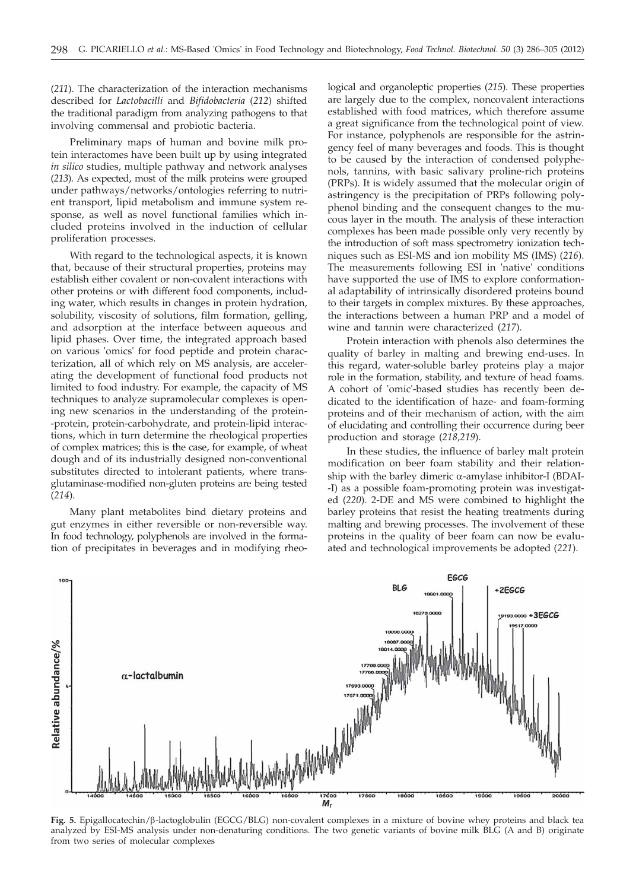(*211*). The characterization of the interaction mechanisms described for *Lactobacilli* and *Bifidobacteria* (*212*) shifted the traditional paradigm from analyzing pathogens to that involving commensal and probiotic bacteria.

Preliminary maps of human and bovine milk protein interactomes have been built up by using integrated *in silico* studies, multiple pathway and network analyses (*213*). As expected, most of the milk proteins were grouped under pathways/networks/ontologies referring to nutrient transport, lipid metabolism and immune system response, as well as novel functional families which included proteins involved in the induction of cellular proliferation processes.

With regard to the technological aspects, it is known that, because of their structural properties, proteins may establish either covalent or non-covalent interactions with other proteins or with different food components, including water, which results in changes in protein hydration, solubility, viscosity of solutions, film formation, gelling, and adsorption at the interface between aqueous and lipid phases. Over time, the integrated approach based on various 'omics' for food peptide and protein characterization, all of which rely on MS analysis, are accelerating the development of functional food products not limited to food industry. For example, the capacity of MS techniques to analyze supramolecular complexes is opening new scenarios in the understanding of the protein- -protein, protein-carbohydrate, and protein-lipid interactions, which in turn determine the rheological properties of complex matrices; this is the case, for example, of wheat dough and of its industrially designed non-conventional substitutes directed to intolerant patients, where transglutaminase-modified non-gluten proteins are being tested (*214*).

Many plant metabolites bind dietary proteins and gut enzymes in either reversible or non-reversible way. In food technology, polyphenols are involved in the formation of precipitates in beverages and in modifying rheo-

logical and organoleptic properties (*215*). These properties are largely due to the complex, noncovalent interactions established with food matrices, which therefore assume a great significance from the technological point of view. For instance, polyphenols are responsible for the astringency feel of many beverages and foods. This is thought to be caused by the interaction of condensed polyphenols, tannins, with basic salivary proline-rich proteins (PRPs). It is widely assumed that the molecular origin of astringency is the precipitation of PRPs following polyphenol binding and the consequent changes to the mucous layer in the mouth. The analysis of these interaction complexes has been made possible only very recently by the introduction of soft mass spectrometry ionization techniques such as ESI-MS and ion mobility MS (IMS) (*216*). The measurements following ESI in 'native' conditions have supported the use of IMS to explore conformational adaptability of intrinsically disordered proteins bound to their targets in complex mixtures. By these approaches, the interactions between a human PRP and a model of wine and tannin were characterized (*217*).

Protein interaction with phenols also determines the quality of barley in malting and brewing end-uses. In this regard, water-soluble barley proteins play a major role in the formation, stability, and texture of head foams. A cohort of 'omic'-based studies has recently been dedicated to the identification of haze- and foam-forming proteins and of their mechanism of action, with the aim of elucidating and controlling their occurrence during beer production and storage (*218,219*).

In these studies, the influence of barley malt protein modification on beer foam stability and their relationship with the barley dimeric  $\alpha$ -amylase inhibitor-I (BDAI--I) as a possible foam-promoting protein was investigated (*220*). 2-DE and MS were combined to highlight the barley proteins that resist the heating treatments during malting and brewing processes. The involvement of these proteins in the quality of beer foam can now be evaluated and technological improvements be adopted (*221*).



**Fig. 5.** Epigallocatechin/b-lactoglobulin (EGCG/BLG) non-covalent complexes in a mixture of bovine whey proteins and black tea analyzed by ESI-MS analysis under non-denaturing conditions. The two genetic variants of bovine milk BLG (A and B) originate from two series of molecular complexes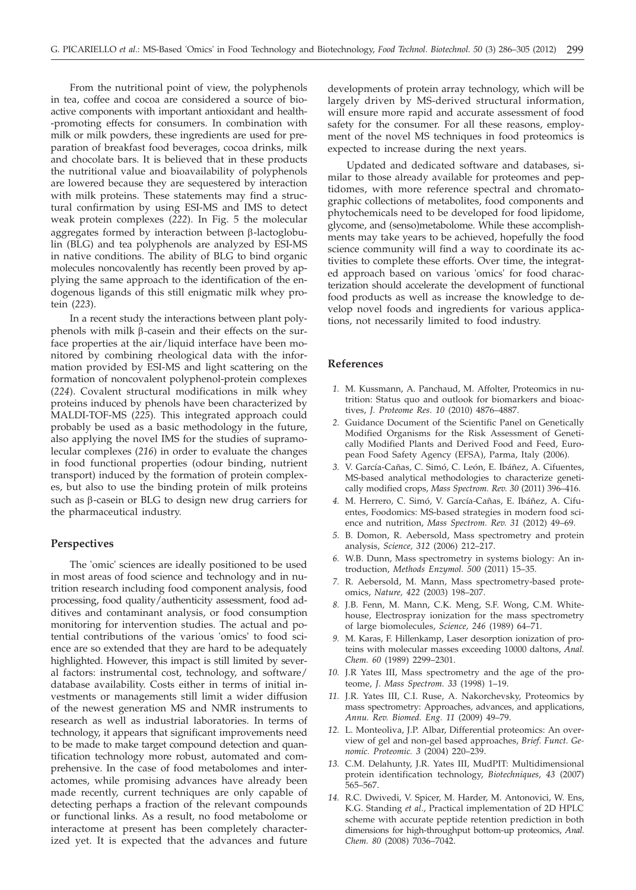From the nutritional point of view, the polyphenols in tea, coffee and cocoa are considered a source of bioactive components with important antioxidant and health- -promoting effects for consumers. In combination with milk or milk powders, these ingredients are used for preparation of breakfast food beverages, cocoa drinks, milk and chocolate bars. It is believed that in these products the nutritional value and bioavailability of polyphenols are lowered because they are sequestered by interaction with milk proteins. These statements may find a structural confirmation by using ESI-MS and IMS to detect weak protein complexes (*222*). In Fig. 5 the molecular aggregates formed by interaction between  $\beta$ -lactoglobulin (BLG) and tea polyphenols are analyzed by ESI-MS in native conditions. The ability of BLG to bind organic molecules noncovalently has recently been proved by applying the same approach to the identification of the endogenous ligands of this still enigmatic milk whey protein (*223*).

In a recent study the interactions between plant polyphenols with milk  $\beta$ -casein and their effects on the surface properties at the air/liquid interface have been monitored by combining rheological data with the information provided by ESI-MS and light scattering on the formation of noncovalent polyphenol-protein complexes (*224*). Covalent structural modifications in milk whey proteins induced by phenols have been characterized by MALDI-TOF-MS (*225*). This integrated approach could probably be used as a basic methodology in the future, also applying the novel IMS for the studies of supramolecular complexes (*216*) in order to evaluate the changes in food functional properties (odour binding, nutrient transport) induced by the formation of protein complexes, but also to use the binding protein of milk proteins such as  $\beta$ -casein or BLG to design new drug carriers for the pharmaceutical industry.

#### **Perspectives**

The 'omic' sciences are ideally positioned to be used in most areas of food science and technology and in nutrition research including food component analysis, food processing, food quality/authenticity assessment, food additives and contaminant analysis, or food consumption monitoring for intervention studies. The actual and potential contributions of the various 'omics' to food science are so extended that they are hard to be adequately highlighted. However, this impact is still limited by several factors: instrumental cost, technology, and software/ database availability. Costs either in terms of initial investments or managements still limit a wider diffusion of the newest generation MS and NMR instruments to research as well as industrial laboratories. In terms of technology, it appears that significant improvements need to be made to make target compound detection and quantification technology more robust, automated and comprehensive. In the case of food metabolomes and interactomes, while promising advances have already been made recently, current techniques are only capable of detecting perhaps a fraction of the relevant compounds or functional links. As a result, no food metabolome or interactome at present has been completely characterized yet. It is expected that the advances and future

developments of protein array technology, which will be largely driven by MS-derived structural information, will ensure more rapid and accurate assessment of food safety for the consumer. For all these reasons, employment of the novel MS techniques in food proteomics is expected to increase during the next years.

Updated and dedicated software and databases, similar to those already available for proteomes and peptidomes, with more reference spectral and chromatographic collections of metabolites, food components and phytochemicals need to be developed for food lipidome, glycome, and (senso)metabolome. While these accomplishments may take years to be achieved, hopefully the food science community will find a way to coordinate its activities to complete these efforts. Over time, the integrated approach based on various 'omics' for food characterization should accelerate the development of functional food products as well as increase the knowledge to develop novel foods and ingredients for various applications, not necessarily limited to food industry.

# **References**

- *1.* M. Kussmann, A. Panchaud, M. Affolter, Proteomics in nutrition: Status quo and outlook for biomarkers and bioactives, *J. Proteome Res*. *10* (2010) 4876–4887.
- *2.* Guidance Document of the Scientific Panel on Genetically Modified Organisms for the Risk Assessment of Genetically Modified Plants and Derived Food and Feed, European Food Safety Agency (EFSA), Parma, Italy (2006).
- *3.* V. García-Cañas, C. Simó, C. León, E. Ibáñez, A. Cifuentes, MS-based analytical methodologies to characterize genetically modified crops, *Mass Spectrom. Rev. 30* (2011) 396–416.
- *4.* M. Herrero, C. Simó, V. García-Cañas, E. Ibáñez, A. Cifuentes, Foodomics: MS-based strategies in modern food science and nutrition, *Mass Spectrom. Rev. 31* (2012) 49–69.
- *5.* B. Domon, R. Aebersold, Mass spectrometry and protein analysis, *Science, 312* (2006) 212–217.
- *6.* W.B. Dunn, Mass spectrometry in systems biology: An introduction, *Methods Enzymol. 500* (2011) 15–35.
- *7.* R. Aebersold, M. Mann, Mass spectrometry-based proteomics, *Nature, 422* (2003) 198–207.
- *8.* J.B. Fenn, M. Mann, C.K. Meng, S.F. Wong, C.M. Whitehouse, Electrospray ionization for the mass spectrometry of large biomolecules, *Science, 246* (1989) 64–71.
- *9.* M. Karas, F. Hillenkamp, Laser desorption ionization of proteins with molecular masses exceeding 10000 daltons, *Anal. Chem. 60* (1989) 2299–2301.
- *10.* J.R Yates III, Mass spectrometry and the age of the proteome, *J. Mass Spectrom. 33* (1998) 1–19.
- *11.* J.R. Yates III, C.I. Ruse, A. Nakorchevsky, Proteomics by mass spectrometry: Approaches, advances, and applications, *Annu. Rev. Biomed. Eng. 11* (2009) 49–79.
- *12.* L. Monteoliva, J.P. Albar, Differential proteomics: An overview of gel and non-gel based approaches, *Brief. Funct. Genomic. Proteomic. 3* (2004) 220–239.
- *13.* C.M. Delahunty, J.R. Yates III, MudPIT: Multidimensional protein identification technology, *Biotechniques, 43* (2007) 565–567.
- *14.* R.C. Dwivedi, V. Spicer, M. Harder, M. Antonovici, W. Ens, K.G. Standing *et al*., Practical implementation of 2D HPLC scheme with accurate peptide retention prediction in both dimensions for high-throughput bottom-up proteomics, *Anal. Chem. 80* (2008) 7036–7042.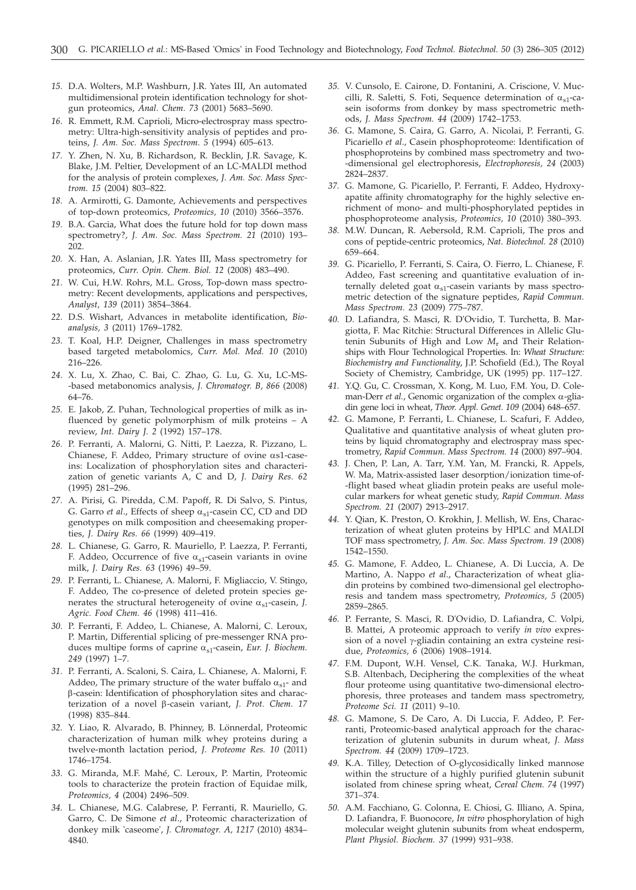- *15.* D.A. Wolters, M.P. Washburn, J.R. Yates III, An automated multidimensional protein identification technology for shotgun proteomics, *Anal. Chem. 73* (2001) 5683–5690.
- *16.* R. Emmett, R.M. Caprioli, Micro-electrospray mass spectrometry: Ultra-high-sensitivity analysis of peptides and proteins, *J. Am. Soc. Mass Spectrom. 5* (1994) 605–613.
- *17.* Y. Zhen, N. Xu, B. Richardson, R. Becklin, J.R. Savage, K. Blake, J.M. Peltier, Development of an LC-MALDI method for the analysis of protein complexes, *J. Am. Soc. Mass Spectrom. 15* (2004) 803–822.
- *18.* A. Armirotti, G. Damonte, Achievements and perspectives of top-down proteomics, *Proteomics, 10* (2010) 3566–3576.
- *19.* B.A. Garcia, What does the future hold for top down mass spectrometry?, *J. Am. Soc. Mass Spectrom. 21* (2010) 193– 202.
- *20.* X. Han, A. Aslanian, J.R. Yates III, Mass spectrometry for proteomics, *Curr. Opin. Chem. Biol. 12* (2008) 483–490.
- *21.* W. Cui, H.W. Rohrs, M.L. Gross, Top-down mass spectrometry: Recent developments, applications and perspectives, *Analyst, 139* (2011) 3854–3864.
- *22.* D.S. Wishart, Advances in metabolite identification, *Bioanalysis, 3* (2011) 1769–1782.
- *23.* T. Koal, H.P. Deigner, Challenges in mass spectrometry based targeted metabolomics, *Curr. Mol. Med. 10* (2010) 216–226.
- *24.* X. Lu, X. Zhao, C. Bai, C. Zhao, G. Lu, G. Xu, LC-MS- -based metabonomics analysis, *J. Chromatogr. B, 866* (2008) 64–76.
- *25.* E. Jakob, Z. Puhan, Technological properties of milk as influenced by genetic polymorphism of milk proteins – A review, *Int. Dairy J. 2* (1992) 157–178.
- *26.* P. Ferranti, A. Malorni, G. Nitti, P. Laezza, R. Pizzano, L. Chianese, F. Addeo, Primary structure of ovine as1-caseins: Localization of phosphorylation sites and characterization of genetic variants A, C and D, *J. Dairy Res. 62* (1995) 281–296.
- *27.* A. Pirisi, G. Piredda, C.M. Papoff, R. Di Salvo, S. Pintus, G. Garro *et al.*, Effects of sheep  $\alpha_{s1}$ -casein CC, CD and DD genotypes on milk composition and cheesemaking properties, *J. Dairy Res. 66* (1999) 409–419.
- *28.* L. Chianese, G. Garro, R. Mauriello, P. Laezza, P. Ferranti, F. Addeo, Occurrence of five  $\alpha_{s1}$ -casein variants in ovine milk, *J. Dairy Res. 63* (1996) 49–59.
- *29.* P. Ferranti, L. Chianese, A. Malorni, F. Migliaccio, V. Stingo, F. Addeo, The co-presence of deleted protein species generates the structural heterogeneity of ovine  $\alpha_{s1}$ -casein, *J*. *Agric. Food Chem. 46* (1998) 411–416.
- *30.* P. Ferranti, F. Addeo, L. Chianese, A. Malorni, C. Leroux, P. Martin, Differential splicing of pre-messenger RNA produces multipe forms of caprine  $\alpha_{s1}$ -casein, *Eur. J. Biochem. 249* (1997) 1–7.
- *31.* P. Ferranti, A. Scaloni, S. Caira, L. Chianese, A. Malorni, F. Addeo, The primary structure of the water buffalo  $\alpha_{s1}$ - and b-casein: Identification of phosphorylation sites and characterization of a novel β-casein variant, *J. Prot. Chem.* 17 (1998) 835–844.
- *32.* Y. Liao, R. Alvarado, B. Phinney, B. Lönnerdal, Proteomic characterization of human milk whey proteins during a twelve-month lactation period, *J. Proteome Res. 10* (2011) 1746–1754.
- *33.* G. Miranda, M.F. Mahé, C. Leroux, P. Martin, Proteomic tools to characterize the protein fraction of Equidae milk, *Proteomics, 4* (2004) 2496–509.
- *34.* L. Chianese, M.G. Calabrese, P. Ferranti, R. Mauriello, G. Garro, C. De Simone *et al*., Proteomic characterization of donkey milk 'caseome', *J. Chromatogr. A, 1217* (2010) 4834– 4840.
- *35.* V. Cunsolo, E. Cairone, D. Fontanini, A. Criscione, V. Muccilli, R. Saletti, S. Foti, Sequence determination of  $\alpha_{s1}$ -casein isoforms from donkey by mass spectrometric methods, *J. Mass Spectrom. 44* (2009) 1742–1753.
- *36.* G. Mamone, S. Caira, G. Garro, A. Nicolai, P. Ferranti, G. Picariello *et al*., Casein phosphoproteome: Identification of phosphoproteins by combined mass spectrometry and two- -dimensional gel electrophoresis, *Electrophoresis, 24* (2003) 2824–2837.
- *37.* G. Mamone, G. Picariello, P. Ferranti, F. Addeo, Hydroxyapatite affinity chromatography for the highly selective enrichment of mono- and multi-phosphorylated peptides in phosphoproteome analysis, *Proteomics, 10* (2010) 380–393.
- *38.* M.W. Duncan, R. Aebersold, R.M. Caprioli, The pros and cons of peptide-centric proteomics, *Nat. Biotechnol. 28* (2010) 659–664.
- *39.* G. Picariello, P. Ferranti, S. Caira, O. Fierro, L. Chianese, F. Addeo, Fast screening and quantitative evaluation of internally deleted goat  $\alpha_{s1}$ -casein variants by mass spectrometric detection of the signature peptides, *Rapid Commun. Mass Spectrom. 23* (2009) 775–787.
- *40.* D. Lafiandra, S. Masci, R. D'Ovidio, T. Turchetta, B. Margiotta, F. Mac Ritchie: Structural Differences in Allelic Glutenin Subunits of High and Low *M*<sup>r</sup> and Their Relationships with Flour Technological Properties. In: *Wheat Structure: Biochemistry and Functionality*, J.P. Schofield (Ed.), The Royal Society of Chemistry, Cambridge, UK (1995) pp. 117–127.
- *41.* Y.Q. Gu, C. Crossman, X. Kong, M. Luo, F.M. You, D. Coleman-Derr *et al.*, Genomic organization of the complex a-gliadin gene loci in wheat, *Theor. Appl. Genet. 109* (2004) 648–657.
- *42.* G. Mamone, P. Ferranti, L. Chianese, L. Scafuri, F. Addeo, Qualitative and quantitative analysis of wheat gluten proteins by liquid chromatography and electrospray mass spectrometry, *Rapid Commun. Mass Spectrom. 14* (2000) 897–904.
- *43.* J. Chen, P. Lan, A. Tarr, Y.M. Yan, M. Francki, R. Appels, W. Ma, Matrix-assisted laser desorption/ionization time-of- -flight based wheat gliadin protein peaks are useful molecular markers for wheat genetic study, *Rapid Commun. Mass Spectrom. 21* (2007) 2913–2917.
- *44.* Y. Qian, K. Preston, O. Krokhin, J. Mellish, W. Ens, Characterization of wheat gluten proteins by HPLC and MALDI TOF mass spectrometry, *J. Am. Soc. Mass Spectrom. 19* (2008) 1542–1550.
- *45.* G. Mamone, F. Addeo, L. Chianese, A. Di Luccia, A. De Martino, A. Nappo *et al*., Characterization of wheat gliadin proteins by combined two-dimensional gel electrophoresis and tandem mass spectrometry, *Proteomics, 5* (2005) 2859–2865.
- *46.* P. Ferrante, S. Masci, R. D'Ovidio, D. Lafiandra, C. Volpi, B. Mattei, A proteomic approach to verify *in vivo* expression of a novel  $\gamma$ -gliadin containing an extra cysteine residue, *Proteomics, 6* (2006) 1908–1914.
- *47.* F.M. Dupont, W.H. Vensel, C.K. Tanaka, W.J. Hurkman, S.B. Altenbach, Deciphering the complexities of the wheat flour proteome using quantitative two-dimensional electrophoresis, three proteases and tandem mass spectrometry, *Proteome Sci. 11* (2011) 9–10.
- *48.* G. Mamone, S. De Caro, A. Di Luccia, F. Addeo, P. Ferranti, Proteomic-based analytical approach for the characterization of glutenin subunits in durum wheat, *J. Mass Spectrom. 44* (2009) 1709–1723.
- *49.* K.A. Tilley, Detection of O-glycosidically linked mannose within the structure of a highly purified glutenin subunit isolated from chinese spring wheat, *Cereal Chem. 74* (1997) 371–374.
- *50.* A.M. Facchiano, G. Colonna, E. Chiosi, G. Illiano, A. Spina, D. Lafiandra, F. Buonocore, *In vitro* phosphorylation of high molecular weight glutenin subunits from wheat endosperm, *Plant Physiol. Biochem. 37* (1999) 931–938.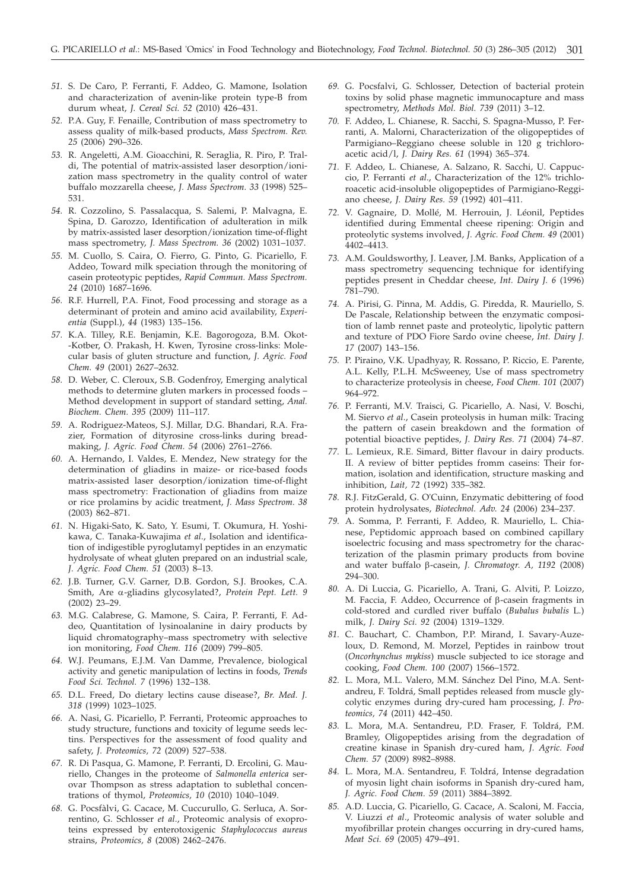- *51.* S. De Caro, P. Ferranti, F. Addeo, G. Mamone, Isolation and characterization of avenin-like protein type-B from durum wheat, *J. Cereal Sci. 52* (2010) 426–431.
- *52.* P.A. Guy, F. Fenaille, Contribution of mass spectrometry to assess quality of milk-based products, *Mass Spectrom. Rev. 25* (2006) 290–326.
- *53.* R. Angeletti, A.M. Gioacchini, R. Seraglia, R. Piro, P. Traldi, The potential of matrix-assisted laser desorption/ionization mass spectrometry in the quality control of water buffalo mozzarella cheese, *J. Mass Spectrom. 33* (1998) 525– 531.
- *54.* R. Cozzolino, S. Passalacqua, S. Salemi, P. Malvagna, E. Spina, D. Garozzo, Identification of adulteration in milk by matrix-assisted laser desorption/ionization time-of-flight mass spectrometry, *J. Mass Spectrom. 36* (2002) 1031–1037.
- *55.* M. Cuollo, S. Caira, O. Fierro, G. Pinto, G. Picariello, F. Addeo, Toward milk speciation through the monitoring of casein proteotypic peptides, *Rapid Commun. Mass Spectrom. 24* (2010) 1687–1696.
- *56.* R.F. Hurrell, P.A. Finot, Food processing and storage as a determinant of protein and amino acid availability, *Experientia* (Suppl.), *44* (1983) 135–156.
- *57.* K.A. Tilley, R.E. Benjamin, K.E. Bagorogoza, B.M. Okot- -Kotber, O. Prakash, H. Kwen, Tyrosine cross-links: Molecular basis of gluten structure and function, *J. Agric. Food Chem. 49* (2001) 2627–2632.
- *58.* D. Weber, C. Cleroux, S.B. Godenfroy, Emerging analytical methods to determine gluten markers in processed foods – Method development in support of standard setting, *Anal. Biochem. Chem. 395* (2009) 111–117.
- *59.* A. Rodriguez-Mateos, S.J. Millar, D.G. Bhandari, R.A. Frazier, Formation of dityrosine cross-links during breadmaking, *J. Agric. Food Chem. 54* (2006) 2761–2766.
- *60.* A. Hernando, I. Valdes, E. Mendez, New strategy for the determination of gliadins in maize- or rice-based foods matrix-assisted laser desorption/ionization time-of-flight mass spectrometry: Fractionation of gliadins from maize or rice prolamins by acidic treatment, *J. Mass Spectrom. 38* (2003) 862–871.
- *61.* N. Higaki-Sato, K. Sato, Y. Esumi, T. Okumura, H. Yoshikawa, C. Tanaka-Kuwajima *et al*., Isolation and identification of indigestible pyroglutamyl peptides in an enzymatic hydrolysate of wheat gluten prepared on an industrial scale, *J. Agric. Food Chem. 51* (2003) 8–13.
- *62.* J.B. Turner, G.V. Garner, D.B. Gordon, S.J. Brookes, C.A. Smith, Are a-gliadins glycosylated?, *Protein Pept. Lett. 9* (2002) 23–29.
- *63.* M.G. Calabrese, G. Mamone, S. Caira, P. Ferranti, F. Addeo, Quantitation of lysinoalanine in dairy products by liquid chromatography–mass spectrometry with selective ion monitoring, *Food Chem. 116* (2009) 799–805.
- *64.* W.J. Peumans, E.J.M. Van Damme, Prevalence, biological activity and genetic manipulation of lectins in foods, *Trends Food Sci. Technol. 7* (1996) 132–138.
- *65.* D.L. Freed, Do dietary lectins cause disease?, *Br. Med. J. 318* (1999) 1023–1025.
- *66.* A. Nasi, G. Picariello, P. Ferranti, Proteomic approaches to study structure, functions and toxicity of legume seeds lectins. Perspectives for the assessment of food quality and safety, *J. Proteomics, 72* (2009) 527–538.
- *67.* R. Di Pasqua, G. Mamone, P. Ferranti, D. Ercolini, G. Mauriello, Changes in the proteome of *Salmonella enterica* serovar Thompson as stress adaptation to sublethal concentrations of thymol, *Proteomics, 10* (2010) 1040–1049.
- *68.* G. Pocsfàlvi, G. Cacace, M. Cuccurullo, G. Serluca, A. Sorrentino, G. Schlosser *et al*., Proteomic analysis of exoproteins expressed by enterotoxigenic *Staphylococcus aureus* strains, *Proteomics, 8* (2008) 2462–2476.
- *69.* G. Pocsfalvi, G. Schlosser, Detection of bacterial protein toxins by solid phase magnetic immunocapture and mass spectrometry, *Methods Mol. Biol. 739* (2011) 3–12.
- *70.* F. Addeo, L. Chianese, R. Sacchi, S. Spagna-Musso, P. Ferranti, A. Malorni, Characterization of the oligopeptides of Parmigiano–Reggiano cheese soluble in 120 g trichloroacetic acid/l, *J. Dairy Res. 61* (1994) 365–374.
- *71.* F. Addeo, L. Chianese, A. Salzano, R. Sacchi, U. Cappuccio, P. Ferranti *et al*., Characterization of the 12% trichloroacetic acid-insoluble oligopeptides of Parmigiano-Reggiano cheese, *J. Dairy Res. 59* (1992) 401–411.
- *72.* V. Gagnaire, D. Mollé, M. Herrouin, J. Léonil, Peptides identified during Emmental cheese ripening: Origin and proteolytic systems involved, *J. Agric. Food Chem. 49* (2001) 4402–4413.
- *73.* A.M. Gouldsworthy, J. Leaver, J.M. Banks, Application of a mass spectrometry sequencing technique for identifying peptides present in Cheddar cheese, *Int. Dairy J. 6* (1996) 781–790.
- *74.* A. Pirisi, G. Pinna, M. Addis, G. Piredda, R. Mauriello, S. De Pascale, Relationship between the enzymatic composition of lamb rennet paste and proteolytic, lipolytic pattern and texture of PDO Fiore Sardo ovine cheese, *Int. Dairy J. 17* (2007) 143–156.
- *75.* P. Piraino, V.K. Upadhyay, R. Rossano, P. Riccio, E. Parente, A.L. Kelly, P.L.H. McSweeney, Use of mass spectrometry to characterize proteolysis in cheese, *Food Chem. 101* (2007) 964–972.
- *76.* P. Ferranti, M.V. Traisci, G. Picariello, A. Nasi, V. Boschi, M. Siervo *et al*., Casein proteolysis in human milk: Tracing the pattern of casein breakdown and the formation of potential bioactive peptides, *J. Dairy Res. 71* (2004) 74–87.
- *77.* L. Lemieux, R.E. Simard, Bitter flavour in dairy products. II. A review of bitter peptides fromm caseins: Their formation, isolation and identification, structure masking and inhibition, *Lait, 72* (1992) 335–382.
- *78.* R.J. FitzGerald, G. O'Cuinn, Enzymatic debittering of food protein hydrolysates, *Biotechnol. Adv. 24* (2006) 234–237.
- *79.* A. Somma, P. Ferranti, F. Addeo, R. Mauriello, L. Chianese, Peptidomic approach based on combined capillary isoelectric focusing and mass spectrometry for the characterization of the plasmin primary products from bovine and water buffalo b-casein, *J. Chromatogr. A, 1192* (2008) 294–300.
- *80.* A. Di Luccia, G. Picariello, A. Trani, G. Alviti, P. Loizzo, M. Faccia, F. Addeo, Occurrence of b-casein fragments in cold-stored and curdled river buffalo (*Bubalus bubalis* L.) milk, *J. Dairy Sci. 92* (2004) 1319–1329.
- *81.* C. Bauchart, C. Chambon, P.P. Mirand, I. Savary-Auzeloux, D. Remond, M. Morzel, Peptides in rainbow trout (*Oncorhynchus mykiss*) muscle subjected to ice storage and cooking, *Food Chem. 100* (2007) 1566–1572.
- *82.* L. Mora, M.L. Valero, M.M. Sánchez Del Pino, M.A. Sentandreu, F. Toldrá, Small peptides released from muscle glycolytic enzymes during dry-cured ham processing, *J. Proteomics, 74* (2011) 442–450.
- *83.* L. Mora, M.A. Sentandreu, P.D. Fraser, F. Toldrá, P.M. Bramley, Oligopeptides arising from the degradation of creatine kinase in Spanish dry-cured ham, *J. Agric. Food Chem. 57* (2009) 8982–8988.
- *84.* L. Mora, M.A. Sentandreu, F. Toldrá, Intense degradation of myosin light chain isoforms in Spanish dry-cured ham, *J. Agric. Food Chem. 59* (2011) 3884–3892.
- *85.* A.D. Luccia, G. Picariello, G. Cacace, A. Scaloni, M. Faccia, V. Liuzzi *et al*., Proteomic analysis of water soluble and myofibrillar protein changes occurring in dry-cured hams, *Meat Sci. 69* (2005) 479–491.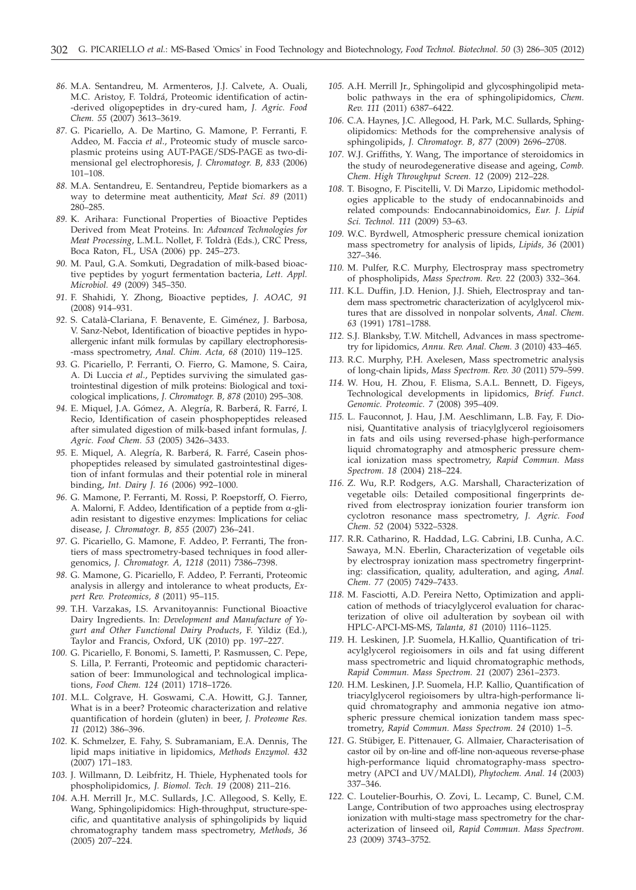- *86.* M.A. Sentandreu, M. Armenteros, J.J. Calvete, A. Ouali, M.C. Aristoy, F. Toldrá, Proteomic identification of actin- -derived oligopeptides in dry-cured ham, *J. Agric. Food Chem. 55* (2007) 3613–3619.
- *87.* G. Picariello, A. De Martino, G. Mamone, P. Ferranti, F. Addeo, M. Faccia *et al*., Proteomic study of muscle sarcoplasmic proteins using AUT-PAGE/SDS-PAGE as two-dimensional gel electrophoresis, *J. Chromatogr. B, 833* (2006) 101–108.
- *88.* M.A. Sentandreu, E. Sentandreu, Peptide biomarkers as a way to determine meat authenticity, *Meat Sci. 89* (2011) 280–285.
- *89.* K. Arihara: Functional Properties of Bioactive Peptides Derived from Meat Proteins. In: *Advanced Technologies for Meat Processing*, L.M.L. Nollet, F. Toldrà (Eds.), CRC Press, Boca Raton, FL, USA (2006) pp. 245–273.
- *90.* M. Paul, G.A. Somkuti, Degradation of milk-based bioactive peptides by yogurt fermentation bacteria, *Lett. Appl. Microbiol. 49* (2009) 345–350.
- *91.* F. Shahidi, Y. Zhong, Bioactive peptides, *J. AOAC, 91* (2008) 914–931.
- *92.* S. Català-Clariana, F. Benavente, E. Giménez, J. Barbosa, V. Sanz-Nebot, Identification of bioactive peptides in hypoallergenic infant milk formulas by capillary electrophoresis- -mass spectrometry, *Anal. Chim. Acta, 68* (2010) 119–125.
- *93.* G. Picariello, P. Ferranti, O. Fierro, G. Mamone, S. Caira, A. Di Luccia *et al*., Peptides surviving the simulated gastrointestinal digestion of milk proteins: Biological and toxicological implications, *J. Chromatogr. B, 878* (2010) 295–308.
- *94.* E. Miquel, J.A. Gómez, A. Alegría, R. Barberá, R. Farré, I. Recio, Identification of casein phosphopeptides released after simulated digestion of milk-based infant formulas, *J. Agric. Food Chem. 53* (2005) 3426–3433.
- *95.* E. Miquel, A. Alegría, R. Barberá, R. Farré, Casein phosphopeptides released by simulated gastrointestinal digestion of infant formulas and their potential role in mineral binding, *Int. Dairy J. 16* (2006) 992–1000.
- *96.* G. Mamone, P. Ferranti, M. Rossi, P. Roepstorff, O. Fierro, A. Malorni, F. Addeo, Identification of a peptide from  $\alpha$ -gliadin resistant to digestive enzymes: Implications for celiac disease, *J. Chromatogr. B, 855* (2007) 236–241.
- *97.* G. Picariello, G. Mamone, F. Addeo, P. Ferranti, The frontiers of mass spectrometry-based techniques in food allergenomics, *J. Chromatogr. A, 1218* (2011) 7386–7398.
- *98.* G. Mamone, G. Picariello, F. Addeo, P. Ferranti, Proteomic analysis in allergy and intolerance to wheat products, *Expert Rev. Proteomics, 8* (2011) 95–115.
- *99.* T.H. Varzakas, I.S. Arvanitoyannis: Functional Bioactive Dairy Ingredients. In: *Development and Manufacture of Yogurt and Other Functional Dairy Products*, F. Yildiz (Ed.), Taylor and Francis, Oxford, UK (2010) pp. 197–227.
- *100.* G. Picariello, F. Bonomi, S. Iametti, P. Rasmussen, C. Pepe, S. Lilla, P. Ferranti, Proteomic and peptidomic characterisation of beer: Immunological and technological implications, *Food Chem. 124* (2011) 1718–1726.
- *101.* M.L. Colgrave, H. Goswami, C.A. Howitt, G.J. Tanner, What is in a beer? Proteomic characterization and relative quantification of hordein (gluten) in beer, *J. Proteome Res. 11* (2012) 386–396.
- *102.* K. Schmelzer, E. Fahy, S. Subramaniam, E.A. Dennis, The lipid maps initiative in lipidomics, *Methods Enzymol. 432* (2007) 171–183.
- *103.* J. Willmann, D. Leibfritz, H. Thiele, Hyphenated tools for phospholipidomics, *J. Biomol. Tech. 19* (2008) 211–216.
- *104.* A.H. Merrill Jr., M.C. Sullards, J.C. Allegood, S. Kelly, E. Wang, Sphingolipidomics: High-throughput, structure-specific, and quantitative analysis of sphingolipids by liquid chromatography tandem mass spectrometry, *Methods, 36* (2005) 207–224.
- *105.* A.H. Merrill Jr., Sphingolipid and glycosphingolipid metabolic pathways in the era of sphingolipidomics, *Chem. Rev. 111* (2011) 6387–6422.
- *106.* C.A. Haynes, J.C. Allegood, H. Park, M.C. Sullards, Sphingolipidomics: Methods for the comprehensive analysis of sphingolipids, *J. Chromatogr. B, 877* (2009) 2696–2708.
- *107.* W.J. Griffiths, Y. Wang, The importance of steroidomics in the study of neurodegenerative disease and ageing, *Comb. Chem. High Throughput Screen. 12* (2009) 212–228.
- *108.* T. Bisogno, F. Piscitelli, V. Di Marzo, Lipidomic methodologies applicable to the study of endocannabinoids and related compounds: Endocannabinoidomics, *Eur. J. Lipid Sci. Technol. 111* (2009) 53–63.
- *109.* W.C. Byrdwell, Atmospheric pressure chemical ionization mass spectrometry for analysis of lipids, *Lipids, 36* (2001) 327–346.
- *110.* M. Pulfer, R.C. Murphy, Electrospray mass spectrometry of phospholipids, *Mass Spectrom. Rev. 22* (2003) 332–364.
- *111.* K.L. Duffin, J.D. Henion, J.J. Shieh, Electrospray and tandem mass spectrometric characterization of acylglycerol mixtures that are dissolved in nonpolar solvents, *Anal. Chem. 63* (1991) 1781–1788.
- *112.* S.J. Blanksby, T.W. Mitchell, Advances in mass spectrometry for lipidomics, *Annu. Rev. Anal. Chem. 3* (2010) 433–465.
- *113.* R.C. Murphy, P.H. Axelesen, Mass spectrometric analysis of long-chain lipids, *Mass Spectrom. Rev. 30* (2011) 579–599.
- *114.* W. Hou, H. Zhou, F. Elisma, S.A.L. Bennett, D. Figeys, Technological developments in lipidomics, *Brief. Funct. Genomic. Proteomic. 7* (2008) 395–409.
- *115.* L. Fauconnot, J. Hau, J.M. Aeschlimann, L.B. Fay, F. Dionisi, Quantitative analysis of triacylglycerol regioisomers in fats and oils using reversed-phase high-performance liquid chromatography and atmospheric pressure chemical ionization mass spectrometry, *Rapid Commun. Mass Spectrom. 18* (2004) 218–224.
- *116.* Z. Wu, R.P. Rodgers, A.G. Marshall, Characterization of vegetable oils: Detailed compositional fingerprints derived from electrospray ionization fourier transform ion cyclotron resonance mass spectrometry, *J. Agric. Food Chem. 52* (2004) 5322–5328.
- *117.* R.R. Catharino, R. Haddad, L.G. Cabrini, I.B. Cunha, A.C. Sawaya, M.N. Eberlin, Characterization of vegetable oils by electrospray ionization mass spectrometry fingerprinting: classification, quality, adulteration, and aging, *Anal. Chem. 77* (2005) 7429–7433.
- *118.* M. Fasciotti, A.D. Pereira Netto, Optimization and application of methods of triacylglycerol evaluation for characterization of olive oil adulteration by soybean oil with HPLC-APCI-MS-MS, *Talanta, 81* (2010) 1116–1125.
- *119.* H. Leskinen, J.P. Suomela, H.Kallio, Quantification of triacylglycerol regioisomers in oils and fat using different mass spectrometric and liquid chromatographic methods, *Rapid Commun. Mass Spectrom. 21* (2007) 2361–2373.
- *120.* H.M. Leskinen, J.P. Suomela, H.P. Kallio, Quantification of triacylglycerol regioisomers by ultra-high-performance liquid chromatography and ammonia negative ion atmospheric pressure chemical ionization tandem mass spectrometry, *Rapid Commun. Mass Spectrom. 24* (2010) 1–5.
- *121.* G. Stübiger, E. Pittenauer, G. Allmaier, Characterisation of castor oil by on-line and off-line non-aqueous reverse-phase high-performance liquid chromatography-mass spectrometry (APCI and UV/MALDI), *Phytochem. Anal. 14* (2003) 337–346.
- *122.* C. Loutelier-Bourhis, O. Zovi, L. Lecamp, C. Bunel, C.M. Lange, Contribution of two approaches using electrospray ionization with multi-stage mass spectrometry for the characterization of linseed oil, *Rapid Commun. Mass Spectrom. 23* (2009) 3743–3752.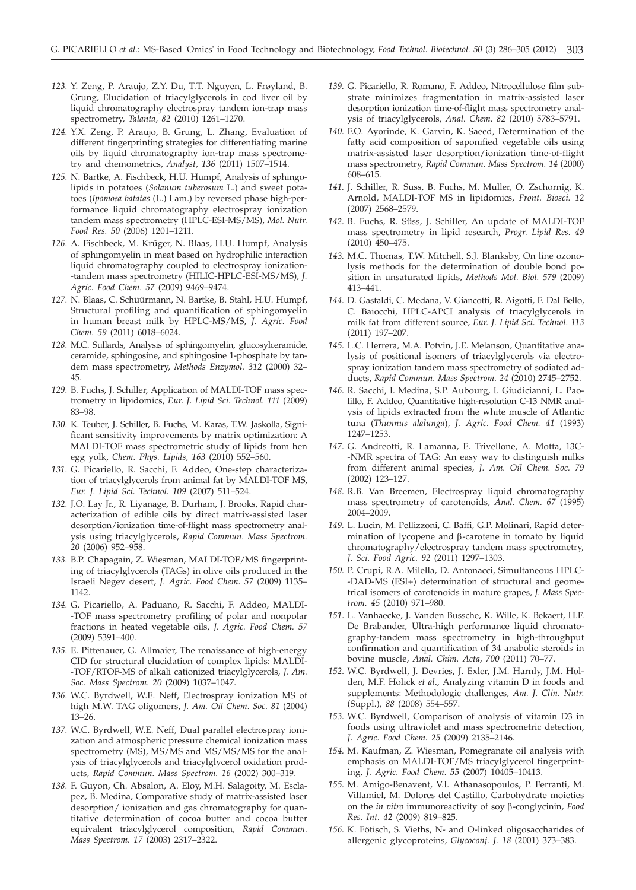- *123.* Y. Zeng, P. Araujo, Z.Y. Du, T.T. Nguyen, L. Frøyland, B. Grung, Elucidation of triacylglycerols in cod liver oil by liquid chromatography electrospray tandem ion-trap mass spectrometry, *Talanta, 82* (2010) 1261–1270.
- *124.* Y.X. Zeng, P. Araujo, B. Grung, L. Zhang, Evaluation of different fingerprinting strategies for differentiating marine oils by liquid chromatography ion-trap mass spectrometry and chemometrics, *Analyst, 136* (2011) 1507–1514.
- *125.* N. Bartke, A. Fischbeck, H.U. Humpf, Analysis of sphingolipids in potatoes (*Solanum tuberosum* L.) and sweet potatoes (*Ipomoea batatas* (L.) Lam.) by reversed phase high-performance liquid chromatography electrospray ionization tandem mass spectrometry (HPLC-ESI-MS/MS), *Mol. Nutr. Food Res. 50* (2006) 1201–1211.
- *126.* A. Fischbeck, M. Krüger, N. Blaas, H.U. Humpf, Analysis of sphingomyelin in meat based on hydrophilic interaction liquid chromatography coupled to electrospray ionization- -tandem mass spectrometry (HILIC-HPLC-ESI-MS/MS), *J. Agric. Food Chem. 57* (2009) 9469–9474.
- *127.* N. Blaas, C. Schüürmann, N. Bartke, B. Stahl, H.U. Humpf, Structural profiling and quantification of sphingomyelin in human breast milk by HPLC-MS/MS, *J. Agric. Food Chem. 59* (2011) 6018–6024.
- *128.* M.C. Sullards, Analysis of sphingomyelin, glucosylceramide, ceramide, sphingosine, and sphingosine 1-phosphate by tandem mass spectrometry, *Methods Enzymol. 312* (2000) 32– 45.
- *129.* B. Fuchs, J. Schiller, Application of MALDI-TOF mass spectrometry in lipidomics, *Eur. J. Lipid Sci. Technol. 111* (2009) 83–98.
- *130.* K. Teuber, J. Schiller, B. Fuchs, M. Karas, T.W. Jaskolla, Significant sensitivity improvements by matrix optimization: A MALDI-TOF mass spectrometric study of lipids from hen egg yolk, *Chem. Phys. Lipids, 163* (2010) 552–560.
- *131.* G. Picariello, R. Sacchi, F. Addeo, One-step characterization of triacylglycerols from animal fat by MALDI-TOF MS, *Eur. J. Lipid Sci. Technol. 109* (2007) 511–524.
- *132.* J.O. Lay Jr., R. Liyanage, B. Durham, J. Brooks, Rapid characterization of edible oils by direct matrix-assisted laser desorption/ionization time-of-flight mass spectrometry analysis using triacylglycerols, *Rapid Commun. Mass Spectrom. 20* (2006) 952–958.
- *133.* B.P. Chapagain, Z. Wiesman, MALDI-TOF/MS fingerprinting of triacylglycerols (TAGs) in olive oils produced in the Israeli Negev desert, *J. Agric. Food Chem. 57* (2009) 1135– 1142.
- *134.* G. Picariello, A. Paduano, R. Sacchi, F. Addeo, MALDI- -TOF mass spectrometry profiling of polar and nonpolar fractions in heated vegetable oils, *J. Agric. Food Chem. 57* (2009) 5391–400.
- *135.* E. Pittenauer, G. Allmaier, The renaissance of high-energy CID for structural elucidation of complex lipids: MALDI- -TOF/RTOF-MS of alkali cationized triacylglycerols, *J. Am. Soc. Mass Spectrom. 20* (2009) 1037–1047.
- *136.* W.C. Byrdwell, W.E. Neff, Electrospray ionization MS of high M.W. TAG oligomers, *J. Am. Oil Chem. Soc. 81* (2004) 13–26.
- *137.* W.C. Byrdwell, W.E. Neff, Dual parallel electrospray ionization and atmospheric pressure chemical ionization mass spectrometry (MS), MS/MS and MS/MS/MS for the analysis of triacylglycerols and triacylglycerol oxidation products, *Rapid Commun. Mass Spectrom. 16* (2002) 300–319.
- *138.* F. Guyon, Ch. Absalon, A. Eloy, M.H. Salagoity, M. Esclapez, B. Medina, Comparative study of matrix-assisted laser desorption/ ionization and gas chromatography for quantitative determination of cocoa butter and cocoa butter equivalent triacylglycerol composition, *Rapid Commun. Mass Spectrom. 17* (2003) 2317–2322.
- *139.* G. Picariello, R. Romano, F. Addeo, Nitrocellulose film substrate minimizes fragmentation in matrix-assisted laser desorption ionization time-of-flight mass spectrometry analysis of triacylglycerols, *Anal. Chem. 82* (2010) 5783–5791.
- *140.* F.O. Ayorinde, K. Garvin, K. Saeed, Determination of the fatty acid composition of saponified vegetable oils using matrix-assisted laser desorption/ionization time-of-flight mass spectrometry, *Rapid Commun. Mass Spectrom. 14* (2000) 608–615.
- *141.* J. Schiller, R. Suss, B. Fuchs, M. Muller, O. Zschornig, K. Arnold, MALDI-TOF MS in lipidomics, *Front. Biosci. 12* (2007) 2568–2579.
- *142.* B. Fuchs, R. Süss, J. Schiller, An update of MALDI-TOF mass spectrometry in lipid research, *Progr. Lipid Res. 49* (2010) 450–475.
- *143.* M.C. Thomas, T.W. Mitchell, S.J. Blanksby, On line ozonolysis methods for the determination of double bond position in unsaturated lipids, *Methods Mol. Biol. 579* (2009) 413–441.
- *144.* D. Gastaldi, C. Medana, V. Giancotti, R. Aigotti, F. Dal Bello, C. Baiocchi, HPLC-APCI analysis of triacylglycerols in milk fat from different source, *Eur. J. Lipid Sci. Technol. 113* (2011) 197–207.
- *145.* L.C. Herrera, M.A. Potvin, J.E. Melanson, Quantitative analysis of positional isomers of triacylglycerols via electrospray ionization tandem mass spectrometry of sodiated adducts, *Rapid Commun. Mass Spectrom. 24* (2010) 2745–2752.
- *146.* R. Sacchi, I. Medina, S.P. Aubourg, I. Giudicianni, L. Paolillo, F. Addeo, Quantitative high-resolution C-13 NMR analysis of lipids extracted from the white muscle of Atlantic tuna (*Thunnus alalunga*), *J. Agric. Food Chem. 41* (1993) 1247–1253.
- *147.* G. Andreotti, R. Lamanna, E. Trivellone, A. Motta, 13C- -NMR spectra of TAG: An easy way to distinguish milks from different animal species, *J. Am. Oil Chem. Soc. 79* (2002) 123–127.
- *148.* R.B. Van Breemen, Electrospray liquid chromatography mass spectrometry of carotenoids, *Anal. Chem. 67* (1995) 2004–2009.
- *149.* L. Lucin, M. Pellizzoni, C. Baffi, G.P. Molinari, Rapid determination of lycopene and  $\beta$ -carotene in tomato by liquid chromatography/electrospray tandem mass spectrometry, *J. Sci. Food Agric. 92* (2011) 1297–1303.
- *150.* P. Crupi, R.A. Milella, D. Antonacci, Simultaneous HPLC- -DAD-MS (ESI+) determination of structural and geometrical isomers of carotenoids in mature grapes, *J. Mass Spectrom. 45* (2010) 971–980.
- *151.* L. Vanhaecke, J. Vanden Bussche, K. Wille, K. Bekaert, H.F. De Brabander, Ultra-high performance liquid chromatography-tandem mass spectrometry in high-throughput confirmation and quantification of 34 anabolic steroids in bovine muscle, *Anal. Chim. Acta, 700* (2011) 70–77.
- *152.* W.C. Byrdwell, J. Devries, J. Exler, J.M. Harnly, J.M. Holden, M.F. Holick *et al*., Analyzing vitamin D in foods and supplements: Methodologic challenges, *Am. J. Clin. Nutr.* (Suppl.), *88* (2008) 554–557.
- *153.* W.C. Byrdwell, Comparison of analysis of vitamin D3 in foods using ultraviolet and mass spectrometric detection, *J. Agric. Food Chem. 25* (2009) 2135–2146.
- *154.* M. Kaufman, Z. Wiesman, Pomegranate oil analysis with emphasis on MALDI-TOF/MS triacylglycerol fingerprinting, *J. Agric. Food Chem. 55* (2007) 10405–10413.
- *155.* M. Amigo-Benavent, V.I. Athanasopoulos, P. Ferranti, M. Villamiel, M. Dolores del Castillo, Carbohydrate moieties on the *in vitro* immunoreactivity of soy b-conglycinin, *Food Res. Int. 42* (2009) 819–825.
- *156.* K. Fötisch, S. Vieths, N- and O-linked oligosaccharides of allergenic glycoproteins, *Glycoconj. J. 18* (2001) 373–383.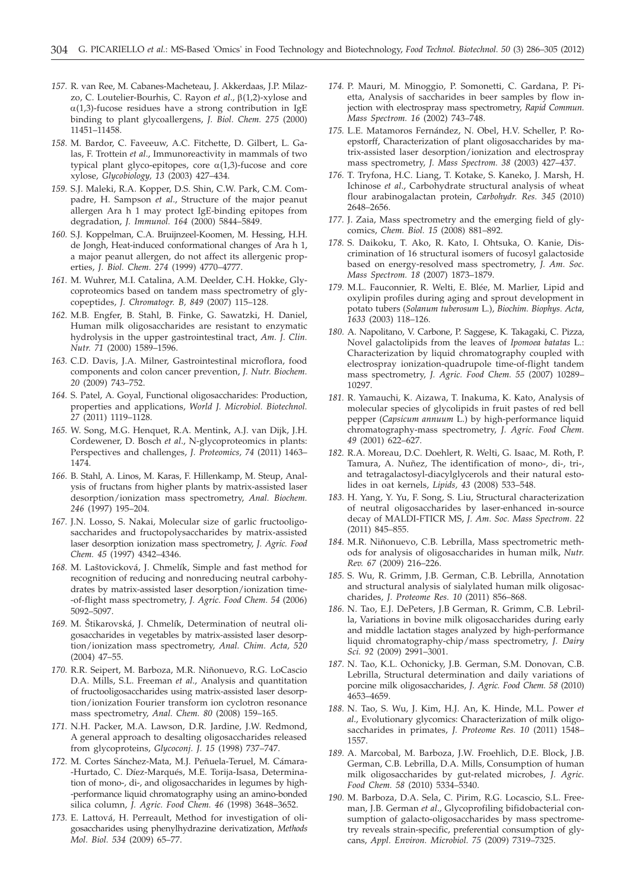- *157.* R. van Ree, M. Cabanes-Macheteau, J. Akkerdaas, J.P. Milazzo, C. Loutelier-Bourhis, C. Rayon *et al*., b(1,2)-xylose and  $\alpha(1,3)$ -fucose residues have a strong contribution in IgE binding to plant glycoallergens, *J. Biol. Chem. 275* (2000) 11451–11458.
- *158.* M. Bardor, C. Faveeuw, A.C. Fitchette, D. Gilbert, L. Galas, F. Trottein *et al*., Immunoreactivity in mammals of two typical plant glyco-epitopes, core  $\alpha(1,3)$ -fucose and core xylose, *Glycobiology, 13* (2003) 427–434.
- *159.* S.J. Maleki, R.A. Kopper, D.S. Shin, C.W. Park, C.M. Compadre, H. Sampson *et al*., Structure of the major peanut allergen Ara h 1 may protect IgE-binding epitopes from degradation, *J. Immunol. 164* (2000) 5844–5849.
- *160.* S.J. Koppelman, C.A. Bruijnzeel-Koomen, M. Hessing, H.H. de Jongh, Heat-induced conformational changes of Ara h 1, a major peanut allergen, do not affect its allergenic properties, *J. Biol. Chem. 274* (1999) 4770–4777.
- *161.* M. Wuhrer, M.I. Catalina, A.M. Deelder, C.H. Hokke, Glycoproteomics based on tandem mass spectrometry of glycopeptides, *J. Chromatogr. B, 849* (2007) 115–128.
- *162.* M.B. Engfer, B. Stahl, B. Finke, G. Sawatzki, H. Daniel, Human milk oligosaccharides are resistant to enzymatic hydrolysis in the upper gastrointestinal tract, *Am. J. Clin. Nutr. 71* (2000) 1589–1596.
- *163.* C.D. Davis, J.A. Milner, Gastrointestinal microflora, food components and colon cancer prevention, *J. Nutr. Biochem. 20* (2009) 743–752.
- *164.* S. Patel, A. Goyal, Functional oligosaccharides: Production, properties and applications, *World J. Microbiol. Biotechnol. 27* (2011) 1119–1128.
- *165.* W. Song, M.G. Henquet, R.A. Mentink, A.J. van Dijk, J.H. Cordewener, D. Bosch *et al*., N-glycoproteomics in plants: Perspectives and challenges, *J. Proteomics, 74* (2011) 1463– 1474.
- *166.* B. Stahl, A. Linos, M. Karas, F. Hillenkamp, M. Steup, Analysis of fructans from higher plants by matrix-assisted laser desorption/ionization mass spectrometry, *Anal. Biochem. 246* (1997) 195–204.
- *167.* J.N. Losso, S. Nakai, Molecular size of garlic fructooligosaccharides and fructopolysaccharides by matrix-assisted laser desorption ionization mass spectrometry, *J. Agric. Food Chem. 45* (1997) 4342–4346.
- 168. M. Laštovicková, J. Chmelík, Simple and fast method for recognition of reducing and nonreducing neutral carbohydrates by matrix-assisted laser desorption/ionization time- -of-flight mass spectrometry, *J. Agric. Food Chem. 54* (2006) 5092–5097.
- 169. M. Štikarovská, J. Chmelík, Determination of neutral oligosaccharides in vegetables by matrix-assisted laser desorption/ionization mass spectrometry, *Anal. Chim. Acta, 520* (2004) 47–55.
- *170.* R.R. Seipert, M. Barboza, M.R. Niñonuevo, R.G. LoCascio D.A. Mills, S.L. Freeman *et al*., Analysis and quantitation of fructooligosaccharides using matrix-assisted laser desorption/ionization Fourier transform ion cyclotron resonance mass spectrometry, *Anal. Chem. 80* (2008) 159–165.
- *171.* N.H. Packer, M.A. Lawson, D.R. Jardine, J.W. Redmond, A general approach to desalting oligosaccharides released from glycoproteins, *Glycoconj. J. 15* (1998) 737–747.
- *172.* M. Cortes Sánchez-Mata, M.J. Peñuela-Teruel, M. Cámara- -Hurtado, C. Díez-Marqués, M.E. Torija-Isasa, Determination of mono-, di-, and oligosaccharides in legumes by high- -performance liquid chromatography using an amino-bonded silica column, *J. Agric. Food Chem. 46* (1998) 3648–3652.
- *173.* E. Lattová, H. Perreault, Method for investigation of oligosaccharides using phenylhydrazine derivatization, *Methods Mol. Biol. 534* (2009) 65–77.
- *174.* P. Mauri, M. Minoggio, P. Somonetti, C. Gardana, P. Pietta, Analysis of saccharides in beer samples by flow injection with electrospray mass spectrometry, *Rapid Commun. Mass Spectrom. 16* (2002) 743–748.
- *175.* L.E. Matamoros Fernández, N. Obel, H.V. Scheller, P. Roepstorff, Characterization of plant oligosaccharides by matrix-assisted laser desorption/ionization and electrospray mass spectrometry, *J. Mass Spectrom. 38* (2003) 427–437.
- *176.* T. Tryfona, H.C. Liang, T. Kotake, S. Kaneko, J. Marsh, H. Ichinose *et al*., Carbohydrate structural analysis of wheat flour arabinogalactan protein, *Carbohydr. Res. 345* (2010) 2648–2656.
- *177.* J. Zaia, Mass spectrometry and the emerging field of glycomics, *Chem. Biol. 15* (2008) 881–892.
- *178.* S. Daikoku, T. Ako, R. Kato, I. Ohtsuka, O. Kanie, Discrimination of 16 structural isomers of fucosyl galactoside based on energy-resolved mass spectrometry, *J. Am. Soc. Mass Spectrom. 18* (2007) 1873–1879.
- *179.* M.L. Fauconnier, R. Welti, E. Blée, M. Marlier, Lipid and oxylipin profiles during aging and sprout development in potato tubers (*Solanum tuberosum* L.), *Biochim. Biophys. Acta, 1633* (2003) 118–126.
- *180.* A. Napolitano, V. Carbone, P. Saggese, K. Takagaki, C. Pizza, Novel galactolipids from the leaves of *Ipomoea batatas* L.: Characterization by liquid chromatography coupled with electrospray ionization-quadrupole time-of-flight tandem mass spectrometry, *J. Agric. Food Chem. 55* (2007) 10289– 10297.
- *181.* R. Yamauchi, K. Aizawa, T. Inakuma, K. Kato, Analysis of molecular species of glycolipids in fruit pastes of red bell pepper (*Capsicum annuum* L.) by high-performance liquid chromatography-mass spectrometry, *J. Agric. Food Chem. 49* (2001) 622–627.
- *182.* R.A. Moreau, D.C. Doehlert, R. Welti, G. Isaac, M. Roth, P. Tamura, A. Nuñez, The identification of mono-, di-, tri-, and tetragalactosyl-diacylglycerols and their natural estolides in oat kernels, *Lipids, 43* (2008) 533–548.
- *183.* H. Yang, Y. Yu, F. Song, S. Liu, Structural characterization of neutral oligosaccharides by laser-enhanced in-source decay of MALDI-FTICR MS, *J. Am. Soc. Mass Spectrom. 22* (2011) 845–855.
- *184.* M.R. Niñonuevo, C.B. Lebrilla, Mass spectrometric methods for analysis of oligosaccharides in human milk, *Nutr. Rev. 67* (2009) 216–226.
- *185.* S. Wu, R. Grimm, J.B. German, C.B. Lebrilla, Annotation and structural analysis of sialylated human milk oligosaccharides, *J. Proteome Res. 10* (2011) 856–868.
- *186.* N. Tao, E.J. DePeters, J.B German, R. Grimm, C.B. Lebrilla, Variations in bovine milk oligosaccharides during early and middle lactation stages analyzed by high-performance liquid chromatography-chip/mass spectrometry, *J. Dairy Sci. 92* (2009) 2991–3001.
- *187.* N. Tao, K.L. Ochonicky, J.B. German, S.M. Donovan, C.B. Lebrilla, Structural determination and daily variations of porcine milk oligosaccharides, *J. Agric. Food Chem. 58* (2010) 4653–4659.
- *188.* N. Tao, S. Wu, J. Kim, H.J. An, K. Hinde, M.L. Power *et al*., Evolutionary glycomics: Characterization of milk oligosaccharides in primates, *J. Proteome Res.* 10 (2011) 1548– 1557.
- *189.* A. Marcobal, M. Barboza, J.W. Froehlich, D.E. Block, J.B. German, C.B. Lebrilla, D.A. Mills, Consumption of human milk oligosaccharides by gut-related microbes, *J. Agric. Food Chem. 58* (2010) 5334–5340.
- *190.* M. Barboza, D.A. Sela, C. Pirim, R.G. Locascio, S.L. Freeman, J.B. German *et al*., Glycoprofiling bifidobacterial consumption of galacto-oligosaccharides by mass spectrometry reveals strain-specific, preferential consumption of glycans, *Appl. Environ. Microbiol. 75* (2009) 7319–7325.